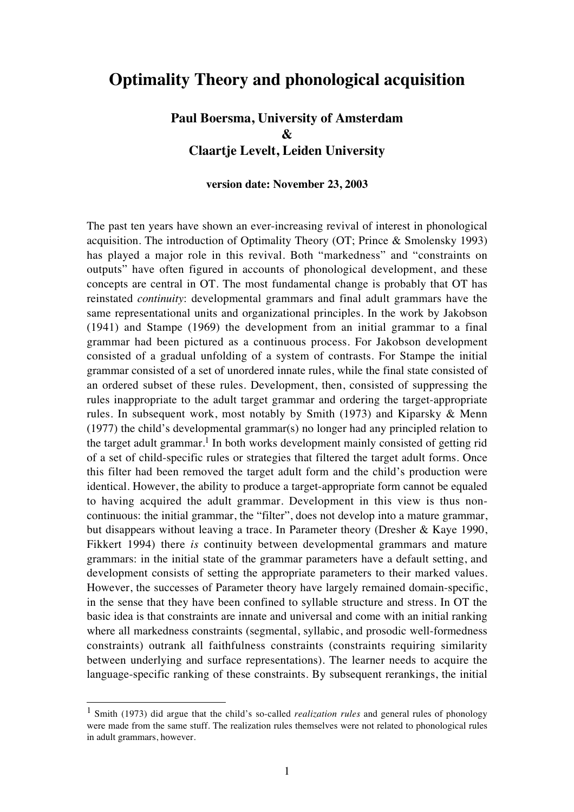# **Optimality Theory and phonological acquisition**

# **Paul Boersma, University of Amsterdam & Claartje Levelt, Leiden University**

#### **version date: November 23, 2003**

The past ten years have shown an ever-increasing revival of interest in phonological acquisition. The introduction of Optimality Theory (OT; Prince & Smolensky 1993) has played a major role in this revival. Both "markedness" and "constraints on outputs" have often figured in accounts of phonological development, and these concepts are central in OT. The most fundamental change is probably that OT has reinstated *continuity*: developmental grammars and final adult grammars have the same representational units and organizational principles. In the work by Jakobson (1941) and Stampe (1969) the development from an initial grammar to a final grammar had been pictured as a continuous process. For Jakobson development consisted of a gradual unfolding of a system of contrasts. For Stampe the initial grammar consisted of a set of unordered innate rules, while the final state consisted of an ordered subset of these rules. Development, then, consisted of suppressing the rules inappropriate to the adult target grammar and ordering the target-appropriate rules. In subsequent work, most notably by Smith (1973) and Kiparsky & Menn (1977) the child's developmental grammar(s) no longer had any principled relation to the target adult grammar.<sup>1</sup> In both works development mainly consisted of getting rid of a set of child-specific rules or strategies that filtered the target adult forms. Once this filter had been removed the target adult form and the child's production were identical. However, the ability to produce a target-appropriate form cannot be equaled to having acquired the adult grammar. Development in this view is thus noncontinuous: the initial grammar, the "filter", does not develop into a mature grammar, but disappears without leaving a trace. In Parameter theory (Dresher & Kaye 1990, Fikkert 1994) there *is* continuity between developmental grammars and mature grammars: in the initial state of the grammar parameters have a default setting, and development consists of setting the appropriate parameters to their marked values. However, the successes of Parameter theory have largely remained domain-specific, in the sense that they have been confined to syllable structure and stress. In OT the basic idea is that constraints are innate and universal and come with an initial ranking where all markedness constraints (segmental, syllabic, and prosodic well-formedness constraints) outrank all faithfulness constraints (constraints requiring similarity between underlying and surface representations). The learner needs to acquire the language-specific ranking of these constraints. By subsequent rerankings, the initial

 <sup>1</sup> Smith (1973) did argue that the child's so-called *realization rules* and general rules of phonology were made from the same stuff. The realization rules themselves were not related to phonological rules in adult grammars, however.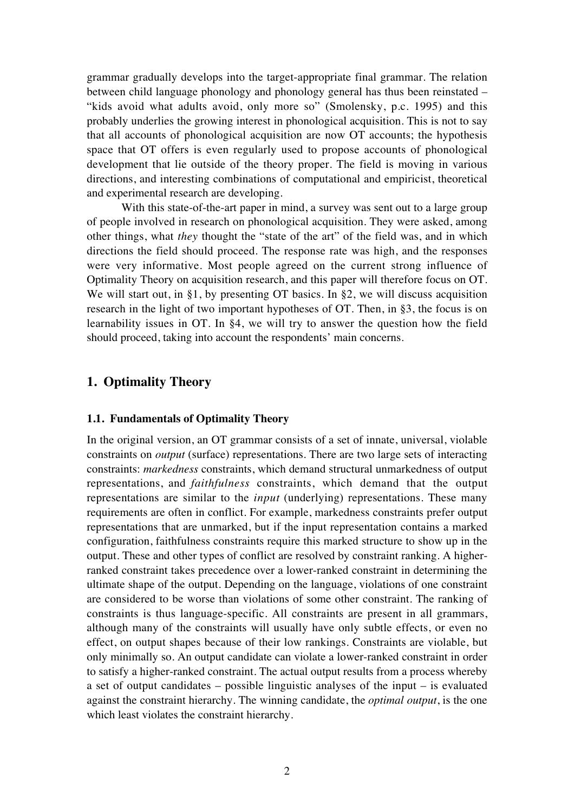grammar gradually develops into the target-appropriate final grammar. The relation between child language phonology and phonology general has thus been reinstated – "kids avoid what adults avoid, only more so" (Smolensky, p.c. 1995) and this probably underlies the growing interest in phonological acquisition. This is not to say that all accounts of phonological acquisition are now OT accounts; the hypothesis space that OT offers is even regularly used to propose accounts of phonological development that lie outside of the theory proper. The field is moving in various directions, and interesting combinations of computational and empiricist, theoretical and experimental research are developing.

With this state-of-the-art paper in mind, a survey was sent out to a large group of people involved in research on phonological acquisition. They were asked, among other things, what *they* thought the "state of the art" of the field was, and in which directions the field should proceed. The response rate was high, and the responses were very informative. Most people agreed on the current strong influence of Optimality Theory on acquisition research, and this paper will therefore focus on OT. We will start out, in §1, by presenting OT basics. In §2, we will discuss acquisition research in the light of two important hypotheses of OT. Then, in §3, the focus is on learnability issues in OT. In §4, we will try to answer the question how the field should proceed, taking into account the respondents' main concerns.

## **1. Optimality Theory**

#### **1.1. Fundamentals of Optimality Theory**

In the original version, an OT grammar consists of a set of innate, universal, violable constraints on *output* (surface) representations. There are two large sets of interacting constraints: *markedness* constraints, which demand structural unmarkedness of output representations, and *faithfulness* constraints, which demand that the output representations are similar to the *input* (underlying) representations. These many requirements are often in conflict. For example, markedness constraints prefer output representations that are unmarked, but if the input representation contains a marked configuration, faithfulness constraints require this marked structure to show up in the output. These and other types of conflict are resolved by constraint ranking. A higherranked constraint takes precedence over a lower-ranked constraint in determining the ultimate shape of the output. Depending on the language, violations of one constraint are considered to be worse than violations of some other constraint. The ranking of constraints is thus language-specific. All constraints are present in all grammars, although many of the constraints will usually have only subtle effects, or even no effect, on output shapes because of their low rankings. Constraints are violable, but only minimally so. An output candidate can violate a lower-ranked constraint in order to satisfy a higher-ranked constraint. The actual output results from a process whereby a set of output candidates – possible linguistic analyses of the input – is evaluated against the constraint hierarchy. The winning candidate, the *optimal output*, is the one which least violates the constraint hierarchy.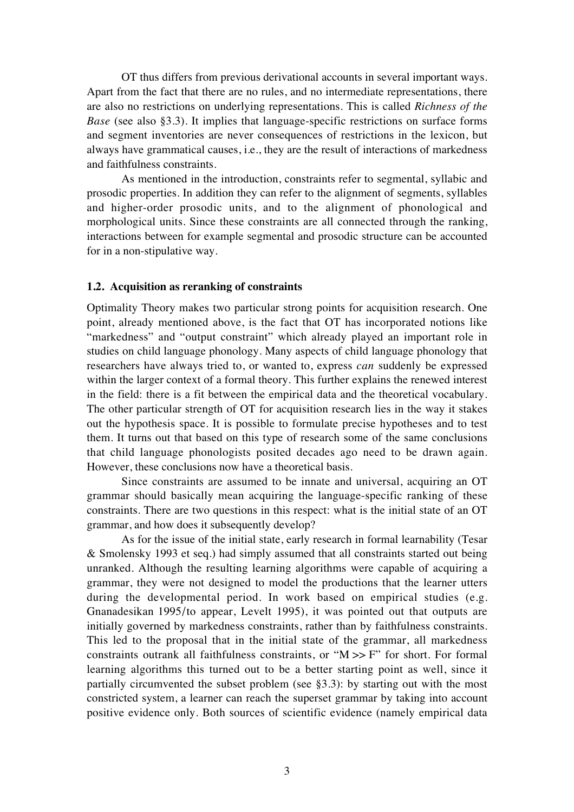OT thus differs from previous derivational accounts in several important ways. Apart from the fact that there are no rules, and no intermediate representations, there are also no restrictions on underlying representations. This is called *Richness of the Base* (see also §3.3). It implies that language-specific restrictions on surface forms and segment inventories are never consequences of restrictions in the lexicon, but always have grammatical causes, i.e., they are the result of interactions of markedness and faithfulness constraints.

As mentioned in the introduction, constraints refer to segmental, syllabic and prosodic properties. In addition they can refer to the alignment of segments, syllables and higher-order prosodic units, and to the alignment of phonological and morphological units. Since these constraints are all connected through the ranking, interactions between for example segmental and prosodic structure can be accounted for in a non-stipulative way.

#### **1.2. Acquisition as reranking of constraints**

Optimality Theory makes two particular strong points for acquisition research. One point, already mentioned above, is the fact that OT has incorporated notions like "markedness" and "output constraint" which already played an important role in studies on child language phonology. Many aspects of child language phonology that researchers have always tried to, or wanted to, express *can* suddenly be expressed within the larger context of a formal theory. This further explains the renewed interest in the field: there is a fit between the empirical data and the theoretical vocabulary. The other particular strength of OT for acquisition research lies in the way it stakes out the hypothesis space. It is possible to formulate precise hypotheses and to test them. It turns out that based on this type of research some of the same conclusions that child language phonologists posited decades ago need to be drawn again. However, these conclusions now have a theoretical basis.

Since constraints are assumed to be innate and universal, acquiring an OT grammar should basically mean acquiring the language-specific ranking of these constraints. There are two questions in this respect: what is the initial state of an OT grammar, and how does it subsequently develop?

As for the issue of the initial state, early research in formal learnability (Tesar & Smolensky 1993 et seq.) had simply assumed that all constraints started out being unranked. Although the resulting learning algorithms were capable of acquiring a grammar, they were not designed to model the productions that the learner utters during the developmental period. In work based on empirical studies (e.g. Gnanadesikan 1995/to appear, Levelt 1995), it was pointed out that outputs are initially governed by markedness constraints, rather than by faithfulness constraints. This led to the proposal that in the initial state of the grammar, all markedness constraints outrank all faithfulness constraints, or "M >> F" for short. For formal learning algorithms this turned out to be a better starting point as well, since it partially circumvented the subset problem (see §3.3): by starting out with the most constricted system, a learner can reach the superset grammar by taking into account positive evidence only. Both sources of scientific evidence (namely empirical data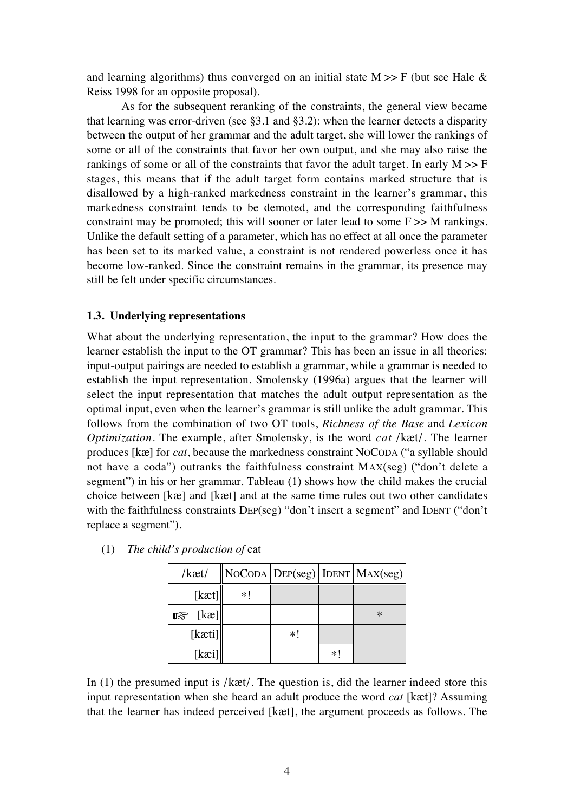and learning algorithms) thus converged on an initial state  $M \gg F$  (but see Hale  $\&$ Reiss 1998 for an opposite proposal).

As for the subsequent reranking of the constraints, the general view became that learning was error-driven (see §3.1 and §3.2): when the learner detects a disparity between the output of her grammar and the adult target, she will lower the rankings of some or all of the constraints that favor her own output, and she may also raise the rankings of some or all of the constraints that favor the adult target. In early  $M \gg F$ stages, this means that if the adult target form contains marked structure that is disallowed by a high-ranked markedness constraint in the learner's grammar, this markedness constraint tends to be demoted, and the corresponding faithfulness constraint may be promoted; this will sooner or later lead to some F >> M rankings. Unlike the default setting of a parameter, which has no effect at all once the parameter has been set to its marked value, a constraint is not rendered powerless once it has become low-ranked. Since the constraint remains in the grammar, its presence may still be felt under specific circumstances.

#### **1.3. Underlying representations**

What about the underlying representation, the input to the grammar? How does the learner establish the input to the OT grammar? This has been an issue in all theories: input-output pairings are needed to establish a grammar, while a grammar is needed to establish the input representation. Smolensky (1996a) argues that the learner will select the input representation that matches the adult output representation as the optimal input, even when the learner's grammar is still unlike the adult grammar. This follows from the combination of two OT tools, *Richness of the Base* and *Lexicon Optimization*. The example, after Smolensky, is the word *cat* /kæt/. The learner produces [kæ] for *cat*, because the markedness constraint NOCODA ("a syllable should not have a coda") outranks the faithfulness constraint MAX(seg) ("don't delete a segment") in his or her grammar. Tableau (1) shows how the child makes the crucial choice between [kæ] and [kæt] and at the same time rules out two other candidates with the faithfulness constraints DEP(seg) "don't insert a segment" and IDENT ("don't replace a segment").

| /kæt/             |          |          |      | $\vert$ NOCODA $\vert$ DEP(seg) $\vert$ IDENT $\vert$ MAX(seg) |
|-------------------|----------|----------|------|----------------------------------------------------------------|
| [kæt]             | $\ast$ 1 |          |      |                                                                |
| $\mathbb{R}$ [kæ] |          |          |      | $\ast$                                                         |
| [kæti]            |          | $\ast$ 1 |      |                                                                |
| [kx]              |          |          | $*!$ |                                                                |

(1) *The child's production of* cat

In (1) the presumed input is /kæt/. The question is, did the learner indeed store this input representation when she heard an adult produce the word *cat* [kæt]? Assuming that the learner has indeed perceived [kæt], the argument proceeds as follows. The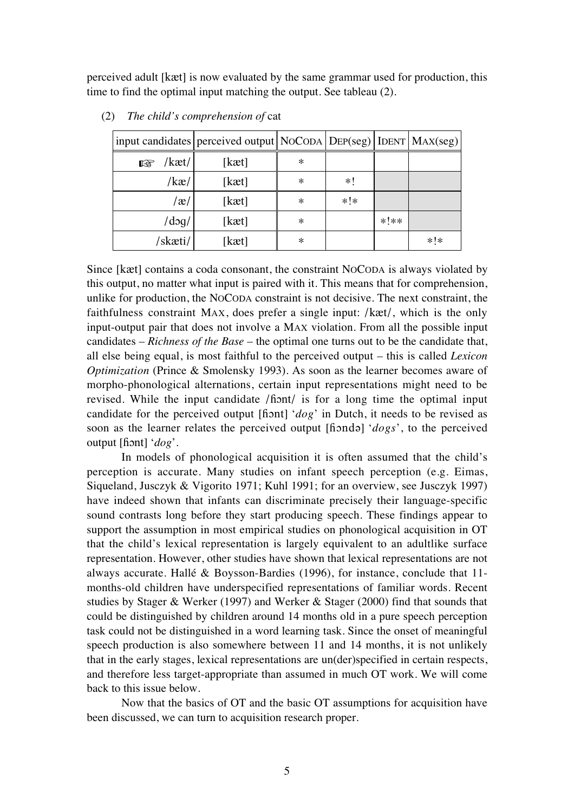perceived adult [kæt] is now evaluated by the same grammar used for production, this time to find the optimal input matching the output. See tableau (2).

|                       | input candidates   perceived output   $NOCODA$   $DEF(seg)$   $IDENT$   $MAX(seg)$ |        |       |        |       |
|-----------------------|------------------------------------------------------------------------------------|--------|-------|--------|-------|
| $\mathbb{R}$ /kæt/    | [kæt]                                                                              | $\ast$ |       |        |       |
| /kæ/                  | [kæt]                                                                              | $\ast$ | $*!$  |        |       |
| $\alpha$              | [kæt]                                                                              | $\ast$ | $*!*$ |        |       |
| $\gamma$ dog $\gamma$ | [kæt]                                                                              | $\ast$ |       | $*!**$ |       |
| /skæti/               | [kæt]                                                                              | $\ast$ |       |        | $*!*$ |

(2) *The child's comprehension of* cat

Since [kæt] contains a coda consonant, the constraint NOCODA is always violated by this output, no matter what input is paired with it. This means that for comprehension, unlike for production, the NOCODA constraint is not decisive. The next constraint, the faithfulness constraint MAX, does prefer a single input: /kæt/, which is the only input-output pair that does not involve a MAX violation. From all the possible input candidates – *Richness of the Base* – the optimal one turns out to be the candidate that, all else being equal, is most faithful to the perceived output – this is called *Lexicon Optimization* (Prince & Smolensky 1993). As soon as the learner becomes aware of morpho-phonological alternations, certain input representations might need to be revised. While the input candidate  $/$  fiont $/$  is for a long time the optimal input candidate for the perceived output  $\left[\text{fiont}\right]$  ' $\text{dog}$ ' in Dutch, it needs to be revised as soon as the learner relates the perceived output [fionda] '*dogs*', to the perceived output [fiont] '*dog*'.

In models of phonological acquisition it is often assumed that the child's perception is accurate. Many studies on infant speech perception (e.g. Eimas, Siqueland, Jusczyk & Vigorito 1971; Kuhl 1991; for an overview, see Jusczyk 1997) have indeed shown that infants can discriminate precisely their language-specific sound contrasts long before they start producing speech. These findings appear to support the assumption in most empirical studies on phonological acquisition in OT that the child's lexical representation is largely equivalent to an adultlike surface representation. However, other studies have shown that lexical representations are not always accurate. Hallé & Boysson-Bardies (1996), for instance, conclude that 11 months-old children have underspecified representations of familiar words. Recent studies by Stager & Werker (1997) and Werker & Stager (2000) find that sounds that could be distinguished by children around 14 months old in a pure speech perception task could not be distinguished in a word learning task. Since the onset of meaningful speech production is also somewhere between 11 and 14 months, it is not unlikely that in the early stages, lexical representations are un(der)specified in certain respects, and therefore less target-appropriate than assumed in much OT work. We will come back to this issue below.

Now that the basics of OT and the basic OT assumptions for acquisition have been discussed, we can turn to acquisition research proper.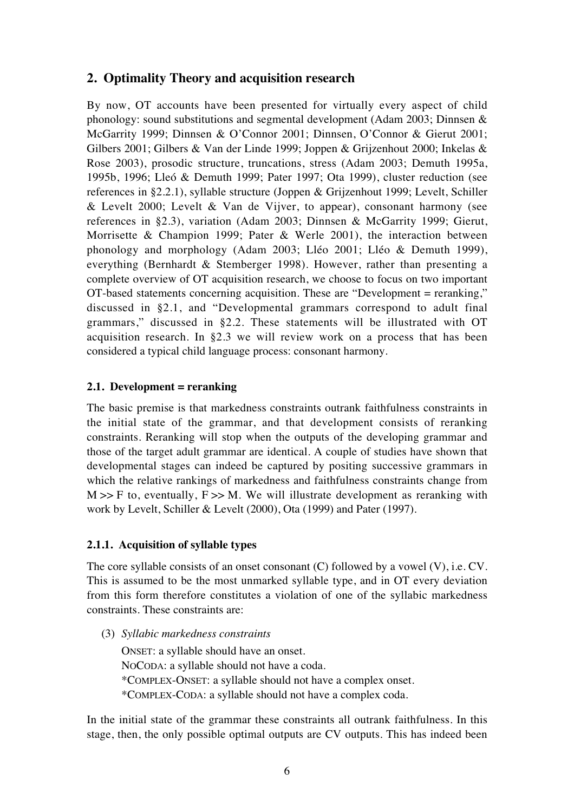## **2. Optimality Theory and acquisition research**

By now, OT accounts have been presented for virtually every aspect of child phonology: sound substitutions and segmental development (Adam 2003; Dinnsen & McGarrity 1999; Dinnsen & O'Connor 2001; Dinnsen, O'Connor & Gierut 2001; Gilbers 2001; Gilbers & Van der Linde 1999; Joppen & Grijzenhout 2000; Inkelas & Rose 2003), prosodic structure, truncations, stress (Adam 2003; Demuth 1995a, 1995b, 1996; Lleó & Demuth 1999; Pater 1997; Ota 1999), cluster reduction (see references in §2.2.1), syllable structure (Joppen & Grijzenhout 1999; Levelt, Schiller & Levelt 2000; Levelt & Van de Vijver, to appear), consonant harmony (see references in §2.3), variation (Adam 2003; Dinnsen & McGarrity 1999; Gierut, Morrisette & Champion 1999; Pater & Werle 2001), the interaction between phonology and morphology (Adam 2003; Lléo 2001; Lléo & Demuth 1999), everything (Bernhardt & Stemberger 1998). However, rather than presenting a complete overview of OT acquisition research, we choose to focus on two important OT-based statements concerning acquisition. These are "Development = reranking," discussed in §2.1, and "Developmental grammars correspond to adult final grammars," discussed in §2.2. These statements will be illustrated with OT acquisition research. In §2.3 we will review work on a process that has been considered a typical child language process: consonant harmony.

## **2.1. Development = reranking**

The basic premise is that markedness constraints outrank faithfulness constraints in the initial state of the grammar, and that development consists of reranking constraints. Reranking will stop when the outputs of the developing grammar and those of the target adult grammar are identical. A couple of studies have shown that developmental stages can indeed be captured by positing successive grammars in which the relative rankings of markedness and faithfulness constraints change from  $M \gg F$  to, eventually,  $F \gg M$ . We will illustrate development as reranking with work by Levelt, Schiller & Levelt (2000), Ota (1999) and Pater (1997).

## **2.1.1. Acquisition of syllable types**

The core syllable consists of an onset consonant (C) followed by a vowel (V), i.e. CV. This is assumed to be the most unmarked syllable type, and in OT every deviation from this form therefore constitutes a violation of one of the syllabic markedness constraints. These constraints are:

(3) *Syllabic markedness constraints*

ONSET: a syllable should have an onset. NOCODA: a syllable should not have a coda. \*COMPLEX-ONSET: a syllable should not have a complex onset. \*COMPLEX-CODA: a syllable should not have a complex coda.

In the initial state of the grammar these constraints all outrank faithfulness. In this stage, then, the only possible optimal outputs are CV outputs. This has indeed been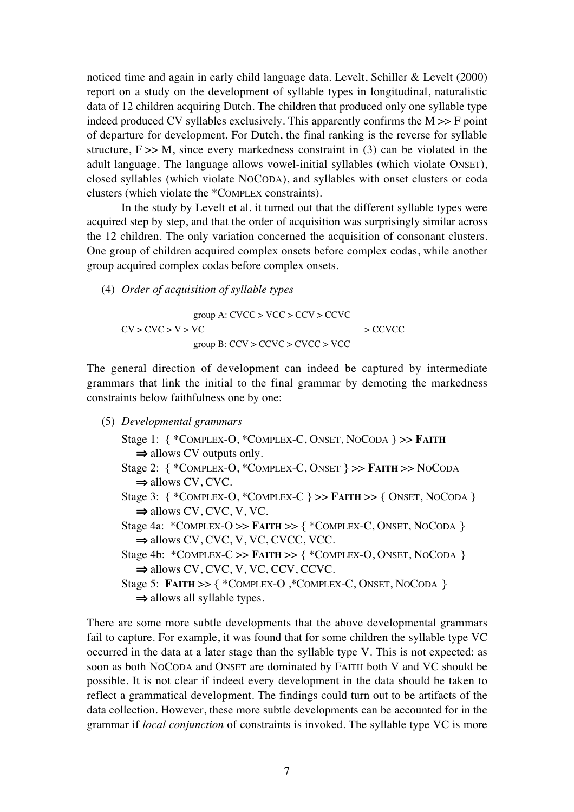noticed time and again in early child language data. Levelt, Schiller & Levelt (2000) report on a study on the development of syllable types in longitudinal, naturalistic data of 12 children acquiring Dutch. The children that produced only one syllable type indeed produced CV syllables exclusively. This apparently confirms the  $M \gg F$  point of departure for development. For Dutch, the final ranking is the reverse for syllable structure,  $F \gg M$ , since every markedness constraint in (3) can be violated in the adult language. The language allows vowel-initial syllables (which violate ONSET), closed syllables (which violate NOCODA), and syllables with onset clusters or coda clusters (which violate the \*COMPLEX constraints).

In the study by Levelt et al. it turned out that the different syllable types were acquired step by step, and that the order of acquisition was surprisingly similar across the 12 children. The only variation concerned the acquisition of consonant clusters. One group of children acquired complex onsets before complex codas, while another group acquired complex codas before complex onsets.

(4) *Order of acquisition of syllable types*

$$
group A: CVCC > VCC > CCV > CCVC
$$
  
\n
$$
CV > CVC > V > VC
$$
  
\n
$$
group B: CCV > CCVC > CVCC > VCC
$$

The general direction of development can indeed be captured by intermediate grammars that link the initial to the final grammar by demoting the markedness constraints below faithfulness one by one:

- (5) *Developmental grammars*
	- Stage 1: { \*COMPLEX-O, \*COMPLEX-C, ONSET, NOCODA } >> **FAITH**  $\Rightarrow$  allows CV outputs only.
	- Stage 2: { \*COMPLEX-O, \*COMPLEX-C, ONSET } >> **FAITH** >> NOCODA  $\Rightarrow$  allows CV, CVC.
	- Stage 3: { \*COMPLEX-O, \*COMPLEX-C } >> **FAITH** >> { ONSET, NOCODA }  $\Rightarrow$  allows CV, CVC, V, VC.
	- Stage 4a: \*COMPLEX-O >> **FAITH** >> { \*COMPLEX-C, ONSET, NOCODA }  $\Rightarrow$  allows CV, CVC, V, VC, CVCC, VCC.
	- Stage 4b: \*COMPLEX-C >> **FAITH** >>  $\{$  \*COMPLEX-O, ONSET, NOCODA  $\}$  $\Rightarrow$  allows CV, CVC, V, VC, CCV, CCVC.
	- Stage 5: **FAITH** >> { \*COMPLEX-O, \*COMPLEX-C, ONSET, NOCODA }  $\Rightarrow$  allows all syllable types.

There are some more subtle developments that the above developmental grammars fail to capture. For example, it was found that for some children the syllable type VC occurred in the data at a later stage than the syllable type V. This is not expected: as soon as both NOCODA and ONSET are dominated by FAITH both V and VC should be possible. It is not clear if indeed every development in the data should be taken to reflect a grammatical development. The findings could turn out to be artifacts of the data collection. However, these more subtle developments can be accounted for in the grammar if *local conjunction* of constraints is invoked. The syllable type VC is more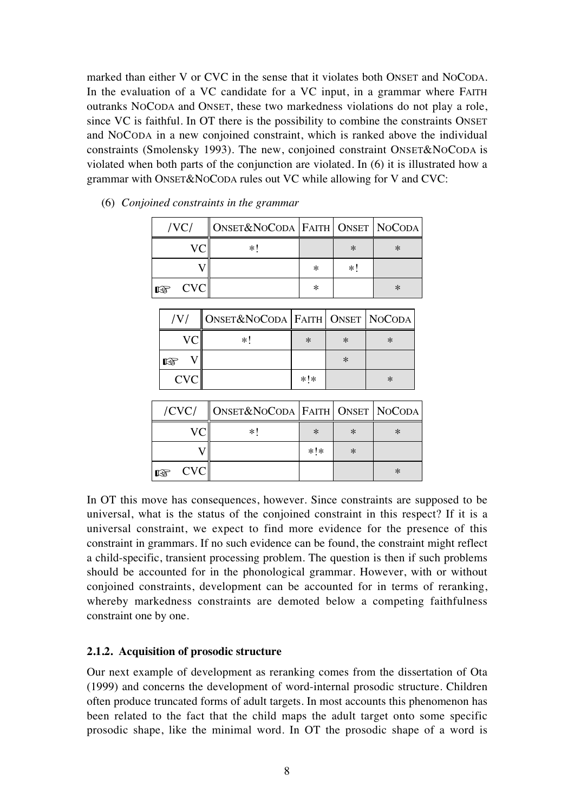marked than either V or CVC in the sense that it violates both ONSET and NOCODA. In the evaluation of a VC candidate for a VC input, in a grammar where FAITH outranks NOCODA and ONSET, these two markedness violations do not play a role, since VC is faithful. In OT there is the possibility to combine the constraints ONSET and NOCODA in a new conjoined constraint, which is ranked above the individual constraints (Smolensky 1993). The new, conjoined constraint ONSET&NOCODA is violated when both parts of the conjunction are violated. In (6) it is illustrated how a grammar with ONSET&NOCODA rules out VC while allowing for V and CVC:

| /VC/            | ONSET&NOCODA FAITH ONSET NOCODA |   |  |
|-----------------|---------------------------------|---|--|
| VC              | $\ast$                          |   |  |
|                 |                                 | ∗ |  |
| <b>CVC</b><br>眨 |                                 | ∗ |  |

(6) *Conjoined constraints in the grammar*

| /V/        | ONSET&NOCODA   FAITH   ONSET   NOCODA |       |        |   |
|------------|---------------------------------------|-------|--------|---|
| VC         | $*!$                                  | ∗     | $\ast$ | Ж |
|            |                                       |       | $\ast$ |   |
| <b>CVC</b> |                                       | $*!*$ |        | Ж |

| /CVC/           | ONSET&NOCODA FAITH ONSET NOCODA |        |        |  |
|-----------------|---------------------------------|--------|--------|--|
| VC              | $\ast$ 1                        | $\ast$ | ⋇      |  |
|                 |                                 | $*!*$  | $\ast$ |  |
| <b>CVC</b><br>隐 |                                 |        |        |  |

In OT this move has consequences, however. Since constraints are supposed to be universal, what is the status of the conjoined constraint in this respect? If it is a universal constraint, we expect to find more evidence for the presence of this constraint in grammars. If no such evidence can be found, the constraint might reflect a child-specific, transient processing problem. The question is then if such problems should be accounted for in the phonological grammar. However, with or without conjoined constraints, development can be accounted for in terms of reranking, whereby markedness constraints are demoted below a competing faithfulness constraint one by one.

## **2.1.2. Acquisition of prosodic structure**

Our next example of development as reranking comes from the dissertation of Ota (1999) and concerns the development of word-internal prosodic structure. Children often produce truncated forms of adult targets. In most accounts this phenomenon has been related to the fact that the child maps the adult target onto some specific prosodic shape, like the minimal word. In OT the prosodic shape of a word is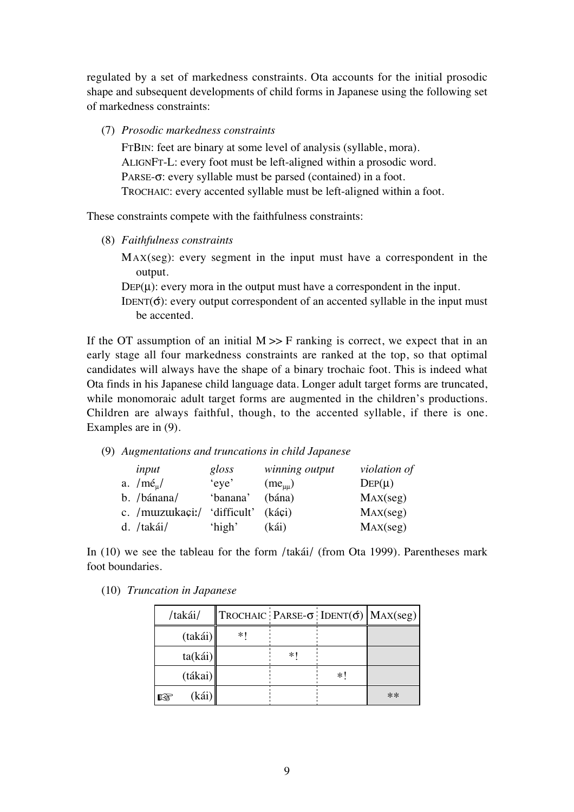regulated by a set of markedness constraints. Ota accounts for the initial prosodic shape and subsequent developments of child forms in Japanese using the following set of markedness constraints:

(7) *Prosodic markedness constraints*

FTBIN: feet are binary at some level of analysis (syllable, mora). ALIGNFT-L: every foot must be left-aligned within a prosodic word. PARSE-σ: every syllable must be parsed (contained) in a foot. TROCHAIC: every accented syllable must be left-aligned within a foot.

These constraints compete with the faithfulness constraints:

(8) *Faithfulness constraints*

MAX(seg): every segment in the input must have a correspondent in the output.

 $DEF(\mu)$ : every mora in the output must have a correspondent in the input.

IDENT( $\acute{\sigma}$ ): every output correspondent of an accented syllable in the input must be accented.

If the OT assumption of an initial  $M \gg F$  ranking is correct, we expect that in an early stage all four markedness constraints are ranked at the top, so that optimal candidates will always have the shape of a binary trochaic foot. This is indeed what Ota finds in his Japanese child language data. Longer adult target forms are truncated, while monomoraic adult target forms are augmented in the children's productions. Children are always faithful, though, to the accented syllable, if there is one. Examples are in (9).

(9) *Augmentations and truncations in child Japanese*

| input                       | gloss    | winning output  | violation of      |
|-----------------------------|----------|-----------------|-------------------|
| a. $/m\acute{\rm e}_{\mu}/$ | 'eye'    | $(me_{\mu\nu})$ | $\text{Dep}(\mu)$ |
| b. /bánana/                 | 'banana' | (bána)          | MAX(seg)          |
| c. /muzukaci:/ 'difficult'  |          | (káci)          | MAX(seg)          |
| d. /takái/                  | 'high'   | (kai)           | MAX(seg)          |

In (10) we see the tableau for the form /takái/ (from Ota 1999). Parentheses mark foot boundaries.

| /takái/     | TROCHAIC PARSE- $\sigma$ IDENT( $\acute{\sigma}$ ) MAX(seg) |    |      |      |
|-------------|-------------------------------------------------------------|----|------|------|
| (takái)     | *1                                                          |    |      |      |
| ta(k4i)     |                                                             | *1 |      |      |
| (tákai)     |                                                             |    | $*!$ |      |
| (kái)<br>⊮ঌ |                                                             |    |      | $**$ |

(10) *Truncation in Japanese*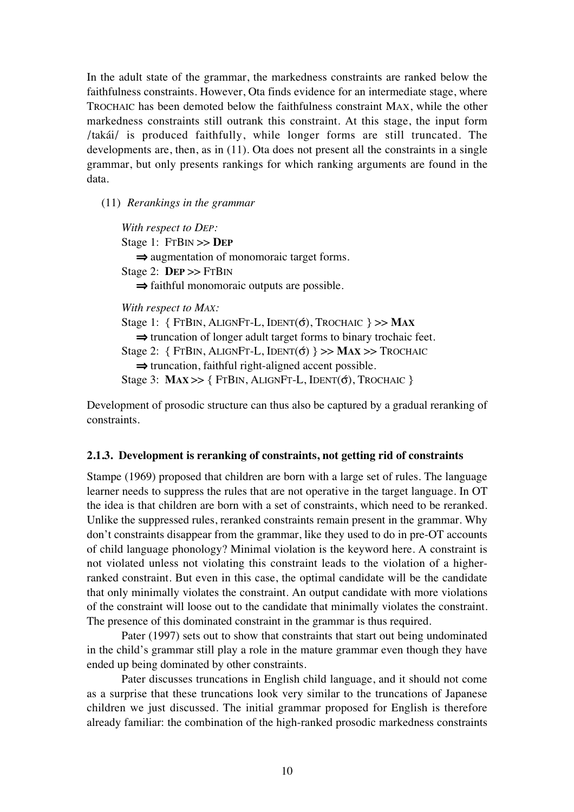In the adult state of the grammar, the markedness constraints are ranked below the faithfulness constraints. However, Ota finds evidence for an intermediate stage, where TROCHAIC has been demoted below the faithfulness constraint MAX, while the other markedness constraints still outrank this constraint. At this stage, the input form /takái/ is produced faithfully, while longer forms are still truncated. The developments are, then, as in (11). Ota does not present all the constraints in a single grammar, but only presents rankings for which ranking arguments are found in the data.

(11) *Rerankings in the grammar*

*With respect to DEP:* Stage 1: FTBIN >> **DEP** ⇒ augmentation of monomoraic target forms. Stage 2: **DEP** >> FTBIN ⇒ faithful monomoraic outputs are possible.

*With respect to MAX:*

Stage 1:  $\{$  FTBIN, ALIGNFT-L, IDENT( $\acute{\sigma}$ ), TROCHAIC  $\}$  >> MAX ⇒ truncation of longer adult target forms to binary trochaic feet. Stage 2:  $\{$  FTBIN, ALIGNFT-L, IDENT( $\acute{\sigma}$ )  $\}$  >> MAX >> TROCHAIC ⇒ truncation, faithful right-aligned accent possible. Stage 3:  $Max \gg$  { FTBIN, ALIGNFT-L, IDENT( $\acute{\sigma}$ ), TROCHAIC }

Development of prosodic structure can thus also be captured by a gradual reranking of constraints.

#### **2.1.3. Development is reranking of constraints, not getting rid of constraints**

Stampe (1969) proposed that children are born with a large set of rules. The language learner needs to suppress the rules that are not operative in the target language. In OT the idea is that children are born with a set of constraints, which need to be reranked. Unlike the suppressed rules, reranked constraints remain present in the grammar. Why don't constraints disappear from the grammar, like they used to do in pre-OT accounts of child language phonology? Minimal violation is the keyword here. A constraint is not violated unless not violating this constraint leads to the violation of a higherranked constraint. But even in this case, the optimal candidate will be the candidate that only minimally violates the constraint. An output candidate with more violations of the constraint will loose out to the candidate that minimally violates the constraint. The presence of this dominated constraint in the grammar is thus required.

Pater (1997) sets out to show that constraints that start out being undominated in the child's grammar still play a role in the mature grammar even though they have ended up being dominated by other constraints.

Pater discusses truncations in English child language, and it should not come as a surprise that these truncations look very similar to the truncations of Japanese children we just discussed. The initial grammar proposed for English is therefore already familiar: the combination of the high-ranked prosodic markedness constraints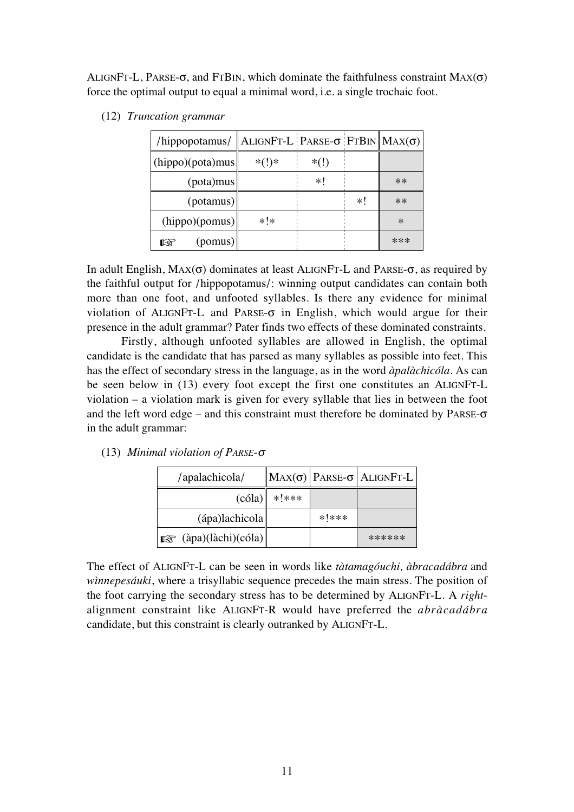ALIGNFT-L, PARSE- $\sigma$ , and FTBIN, which dominate the faithfulness constraint  $\text{MAX}(\sigma)$ force the optimal output to equal a minimal word, i.e. a single trochaic foot.

- $\hbar$ ippopotamus/ ALIGNFT-L PARSE- $\sigma$  FTBIN MAX( $\sigma$ )  $(\text{hippo})(\text{pota})$ mus  $*(!)*$  \*(!)  $(pota)$ mus  $*!$  \*! \*\*  $(potamus)$   $*$ !  $*$ !  $**$  $(hippo)(pomus)$  \*!\*  $\vdots$  \* ☞ (pomus) \*\*\*
- (12) *Truncation grammar*

In adult English,  $MAX(σ)$  dominates at least ALIGNFT-L and PARSE- $\sigma$ , as required by the faithful output for /hippopotamus/: winning output candidates can contain both more than one foot, and unfooted syllables. Is there any evidence for minimal violation of ALIGNFT-L and PARSE-σ in English, which would argue for their presence in the adult grammar? Pater finds two effects of these dominated constraints.

Firstly, although unfooted syllables are allowed in English, the optimal candidate is the candidate that has parsed as many syllables as possible into feet. This has the effect of secondary stress in the language, as in the word *àpalàchicóla*. As can be seen below in (13) every foot except the first one constitutes an ALIGNFT-L violation – a violation mark is given for every syllable that lies in between the foot and the left word edge – and this constraint must therefore be dominated by PARSE- $\sigma$ in the adult grammar:

(13) *Minimal violation of PARSE-*<sup>σ</sup>

| /apalachicola/                  |                |             | $\left \text{MAX}(\sigma)\right $ Parse- $\sigma$ AlignFt-L |
|---------------------------------|----------------|-------------|-------------------------------------------------------------|
|                                 | $ c6 a $ *!*** |             |                                                             |
| $(ápa)$ lachicola               |                | $*$ $*$ $*$ |                                                             |
| $\mathbb{R}$ (àpa)(làchi)(cóla) |                |             | ******                                                      |

The effect of ALIGNFT-L can be seen in words like *tàtamagóuchi, àbracadábra* and *wìnnepesáuki*, where a trisyllabic sequence precedes the main stress. The position of the foot carrying the secondary stress has to be determined by ALIGNFT-L. A *right*alignment constraint like ALIGNFT-R would have preferred the *abràcadábra* candidate, but this constraint is clearly outranked by ALIGNFT-L.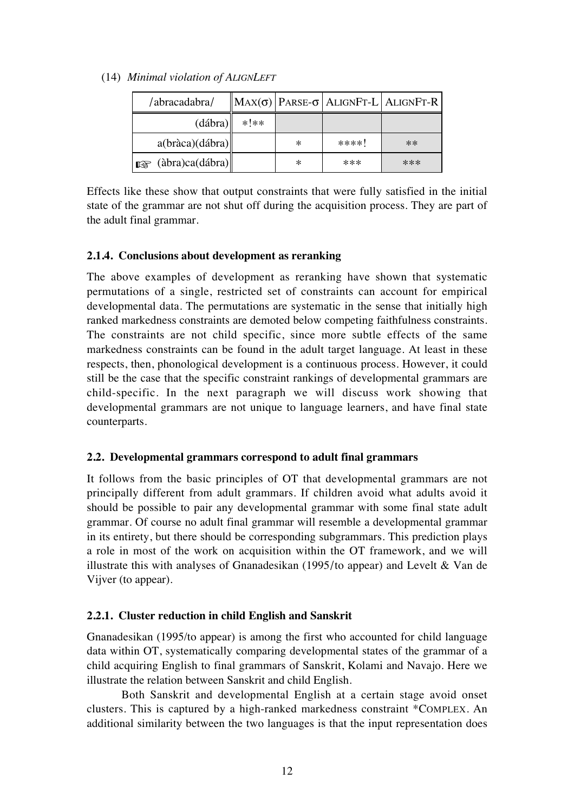| /abracadabra/                |         |   |       | $\left \right $ MAX( $\sigma$ ) PARSE- $\sigma$ ALIGNFT-L ALIGNFT-R |
|------------------------------|---------|---|-------|---------------------------------------------------------------------|
| (dábra)                      | $*$ $*$ |   |       |                                                                     |
| a(bràca)(dábra)              |         | ∗ | ****! | $***$                                                               |
| $\mathbb{R}$ (àbra)ca(dábra) |         | ∗ | $***$ | ***                                                                 |

(14) *Minimal violation of ALIGNLEFT*

Effects like these show that output constraints that were fully satisfied in the initial state of the grammar are not shut off during the acquisition process. They are part of the adult final grammar.

## **2.1.4. Conclusions about development as reranking**

The above examples of development as reranking have shown that systematic permutations of a single, restricted set of constraints can account for empirical developmental data. The permutations are systematic in the sense that initially high ranked markedness constraints are demoted below competing faithfulness constraints. The constraints are not child specific, since more subtle effects of the same markedness constraints can be found in the adult target language. At least in these respects, then, phonological development is a continuous process. However, it could still be the case that the specific constraint rankings of developmental grammars are child-specific. In the next paragraph we will discuss work showing that developmental grammars are not unique to language learners, and have final state counterparts.

## **2.2. Developmental grammars correspond to adult final grammars**

It follows from the basic principles of OT that developmental grammars are not principally different from adult grammars. If children avoid what adults avoid it should be possible to pair any developmental grammar with some final state adult grammar. Of course no adult final grammar will resemble a developmental grammar in its entirety, but there should be corresponding subgrammars. This prediction plays a role in most of the work on acquisition within the OT framework, and we will illustrate this with analyses of Gnanadesikan (1995/to appear) and Levelt & Van de Vijver (to appear).

## **2.2.1. Cluster reduction in child English and Sanskrit**

Gnanadesikan (1995/to appear) is among the first who accounted for child language data within OT, systematically comparing developmental states of the grammar of a child acquiring English to final grammars of Sanskrit, Kolami and Navajo. Here we illustrate the relation between Sanskrit and child English.

Both Sanskrit and developmental English at a certain stage avoid onset clusters. This is captured by a high-ranked markedness constraint \*COMPLEX. An additional similarity between the two languages is that the input representation does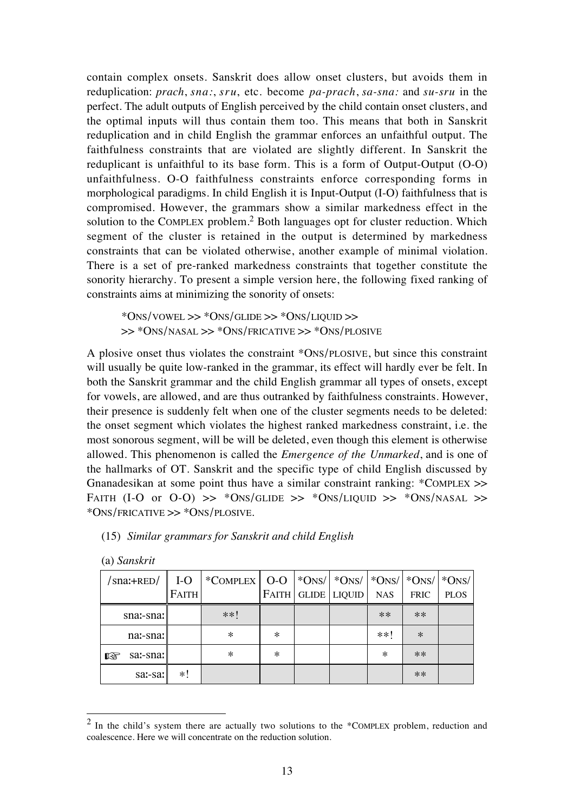contain complex onsets. Sanskrit does allow onset clusters, but avoids them in reduplication: *prach*, *sna:*, *sru*, etc. become *pa-prach*, *sa-sna:* and *su-sru* in the perfect. The adult outputs of English perceived by the child contain onset clusters, and the optimal inputs will thus contain them too. This means that both in Sanskrit reduplication and in child English the grammar enforces an unfaithful output. The faithfulness constraints that are violated are slightly different. In Sanskrit the reduplicant is unfaithful to its base form. This is a form of Output-Output (O-O) unfaithfulness. O-O faithfulness constraints enforce corresponding forms in morphological paradigms. In child English it is Input-Output (I-O) faithfulness that is compromised. However, the grammars show a similar markedness effect in the solution to the COMPLEX problem.<sup>2</sup> Both languages opt for cluster reduction. Which segment of the cluster is retained in the output is determined by markedness constraints that can be violated otherwise, another example of minimal violation. There is a set of pre-ranked markedness constraints that together constitute the sonority hierarchy. To present a simple version here, the following fixed ranking of constraints aims at minimizing the sonority of onsets:

\*ONS/VOWEL >> \*ONS/GLIDE >> \*ONS/LIQUID >> >> \*ONS/NASAL >> \*ONS/FRICATIVE >> \*ONS/PLOSIVE

A plosive onset thus violates the constraint \*ONS/PLOSIVE, but since this constraint will usually be quite low-ranked in the grammar, its effect will hardly ever be felt. In both the Sanskrit grammar and the child English grammar all types of onsets, except for vowels, are allowed, and are thus outranked by faithfulness constraints. However, their presence is suddenly felt when one of the cluster segments needs to be deleted: the onset segment which violates the highest ranked markedness constraint, i.e. the most sonorous segment, will be will be deleted, even though this element is otherwise allowed. This phenomenon is called the *Emergence of the Unmarked*, and is one of the hallmarks of OT. Sanskrit and the specific type of child English discussed by Gnanadesikan at some point thus have a similar constraint ranking: \*COMPLEX >> FAITH (I-O or O-O)  $\gg$  \*Ons/GLIDE  $\gg$  \*Ons/LIQUID  $\gg$  \*Ons/NASAL  $\gg$ \*ONS/FRICATIVE >> \*ONS/PLOSIVE.

| 'sna:+RED/    | $I-O$<br><b>FAITH</b> | *COMPLEX | $O-O$  | $*$ ONS/ | FAITH GLIDE LIQUID | $*$ ONS/ $*$ ONS/ $\blacksquare$<br><b>NAS</b> | $*$ ONS/<br><b>FRIC</b> | $*$ ONS/<br><b>PLOS</b> |
|---------------|-----------------------|----------|--------|----------|--------------------|------------------------------------------------|-------------------------|-------------------------|
| sna:-sna:     |                       | $***!$   |        |          |                    | $**$                                           | $**$                    |                         |
| na:-sna:      |                       | $\ast$   | $\ast$ |          |                    | $**!$                                          | $\ast$                  |                         |
| sa:-sna:<br>隐 |                       | $\ast$   | $\ast$ |          |                    | $\ast$                                         | $***$                   |                         |
| sa:-sa:       | *!                    |          |        |          |                    |                                                | $**$                    |                         |

(15) *Similar grammars for Sanskrit and child English*

(a) *Sanskrit*

<sup>&</sup>lt;sup>2</sup> In the child's system there are actually two solutions to the \*COMPLEX problem, reduction and coalescence. Here we will concentrate on the reduction solution.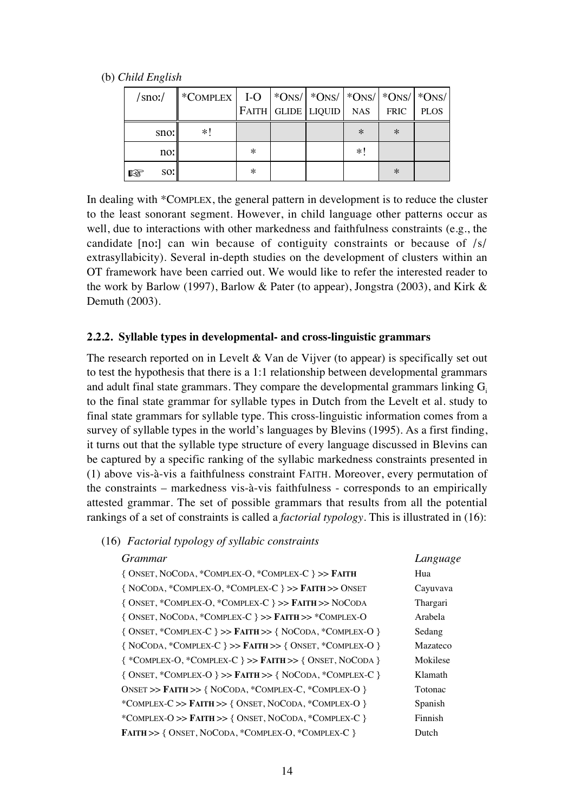### (b) *Child English*

| $\sqrt{\text{sno}}$ :/ | *COMPLEX   I-O   *ONS/   *ONS/   *ONS/   *ONS/   *ONS/ |        | FAITH GLIDE LIQUID NAS FRIC |        |        | <b>PLOS</b> |
|------------------------|--------------------------------------------------------|--------|-----------------------------|--------|--------|-------------|
| sno:                   | $*!$                                                   |        |                             | $\ast$ | $\ast$ |             |
| no:                    |                                                        | $\ast$ |                             | $*!$   |        |             |
| so:I<br>隐              |                                                        | $\ast$ |                             |        | $\ast$ |             |

In dealing with \*COMPLEX, the general pattern in development is to reduce the cluster to the least sonorant segment. However, in child language other patterns occur as well, due to interactions with other markedness and faithfulness constraints (e.g., the candidate  $[no!]$  can win because of contiguity constraints or because of  $/s/$ extrasyllabicity). Several in-depth studies on the development of clusters within an OT framework have been carried out. We would like to refer the interested reader to the work by Barlow (1997), Barlow & Pater (to appear), Jongstra (2003), and Kirk & Demuth (2003).

## **2.2.2. Syllable types in developmental- and cross-linguistic grammars**

The research reported on in Levelt & Van de Vijver (to appear) is specifically set out to test the hypothesis that there is a 1:1 relationship between developmental grammars and adult final state grammars. They compare the developmental grammars linking  $G_i$ to the final state grammar for syllable types in Dutch from the Levelt et al. study to final state grammars for syllable type. This cross-linguistic information comes from a survey of syllable types in the world's languages by Blevins (1995). As a first finding, it turns out that the syllable type structure of every language discussed in Blevins can be captured by a specific ranking of the syllabic markedness constraints presented in (1) above vis-à-vis a faithfulness constraint FAITH. Moreover, every permutation of the constraints – markedness vis-à-vis faithfulness - corresponds to an empirically attested grammar. The set of possible grammars that results from all the potential rankings of a set of constraints is called a *factorial typology*. This is illustrated in (16):

### (16) *Factorial typology of syllabic constraints*

| Grammar                                                              | Language |
|----------------------------------------------------------------------|----------|
| { ONSET, NOCODA, *COMPLEX-O, *COMPLEX-C } >> FAITH                   | Hua      |
| {NOCODA, *COMPLEX-O, *COMPLEX-C } >> FAITH >> ONSET                  | Cayuvava |
| { ONSET, *COMPLEX-O, *COMPLEX-C } >> FAITH >> NOCODA                 | Thargari |
| { ONSET, NOCODA, *COMPLEX-C } >> FAITH >> *COMPLEX-O                 | Arabela  |
| $\{$ ONSET, *COMPLEX-C $\}$ >> FAITH >> $\{$ NOCODA, *COMPLEX-O $\}$ | Sedang   |
| $\{ NoCODA, *COMPLEX-C \} >>$ FAITH $>>$ $\{ ONSET, *COMPLEX-O \}$   | Mazateco |
| $\{ *COMPLEX-O, *COMPLEX-C \} >> FATH >> \{ ONSET, NOCODA \}$        | Mokilese |
| $\{$ ONSET, *COMPLEX-O $\}$ >> FAITH >> $\{$ NOCODA, *COMPLEX-C $\}$ | Klamath  |
| ONSET >> FAITH >> { NOCODA, *COMPLEX-C, *COMPLEX-O }                 | Totonac  |
| *COMPLEX-C >> FAITH >> { ONSET, NOCODA, *COMPLEX-O }                 | Spanish  |
| *COMPLEX-O >> FAITH >> { ONSET, NOCODA, *COMPLEX-C }                 | Finnish  |
| FAITH >> { ONSET, NOCODA, *COMPLEX-O, *COMPLEX-C }                   | Dutch    |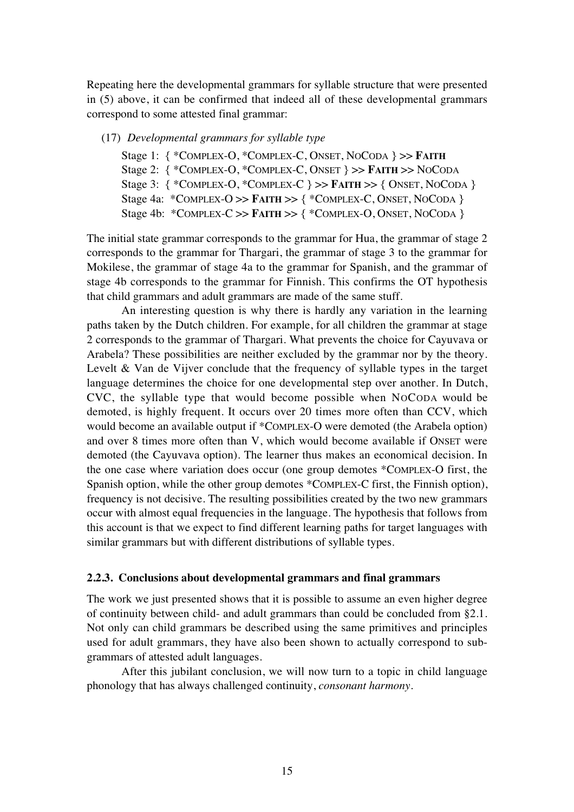Repeating here the developmental grammars for syllable structure that were presented in (5) above, it can be confirmed that indeed all of these developmental grammars correspond to some attested final grammar:

(17) *Developmental grammars for syllable type*

Stage 1: { \*COMPLEX-O, \*COMPLEX-C, ONSET, NOCODA } >> **FAITH** Stage 2: { \*COMPLEX-O, \*COMPLEX-C, ONSET } >> **FAITH** >> NOCODA Stage 3: { \*COMPLEX-O, \*COMPLEX-C } >> **FAITH** >> { ONSET, NOCODA } Stage 4a: \*COMPLEX-O >> **FAITH** >> { \*COMPLEX-C, ONSET, NOCODA } Stage 4b: \*COMPLEX-C >> **FAITH** >> { \*COMPLEX-O, ONSET, NOCODA }

The initial state grammar corresponds to the grammar for Hua, the grammar of stage 2 corresponds to the grammar for Thargari, the grammar of stage 3 to the grammar for Mokilese, the grammar of stage 4a to the grammar for Spanish, and the grammar of stage 4b corresponds to the grammar for Finnish. This confirms the OT hypothesis that child grammars and adult grammars are made of the same stuff.

An interesting question is why there is hardly any variation in the learning paths taken by the Dutch children. For example, for all children the grammar at stage 2 corresponds to the grammar of Thargari. What prevents the choice for Cayuvava or Arabela? These possibilities are neither excluded by the grammar nor by the theory. Levelt & Van de Vijver conclude that the frequency of syllable types in the target language determines the choice for one developmental step over another. In Dutch, CVC, the syllable type that would become possible when NOCODA would be demoted, is highly frequent. It occurs over 20 times more often than CCV, which would become an available output if \*COMPLEX-O were demoted (the Arabela option) and over 8 times more often than V, which would become available if ONSET were demoted (the Cayuvava option). The learner thus makes an economical decision. In the one case where variation does occur (one group demotes \*COMPLEX-O first, the Spanish option, while the other group demotes \*COMPLEX-C first, the Finnish option), frequency is not decisive. The resulting possibilities created by the two new grammars occur with almost equal frequencies in the language. The hypothesis that follows from this account is that we expect to find different learning paths for target languages with similar grammars but with different distributions of syllable types.

#### **2.2.3. Conclusions about developmental grammars and final grammars**

The work we just presented shows that it is possible to assume an even higher degree of continuity between child- and adult grammars than could be concluded from §2.1. Not only can child grammars be described using the same primitives and principles used for adult grammars, they have also been shown to actually correspond to subgrammars of attested adult languages.

After this jubilant conclusion, we will now turn to a topic in child language phonology that has always challenged continuity, *consonant harmony*.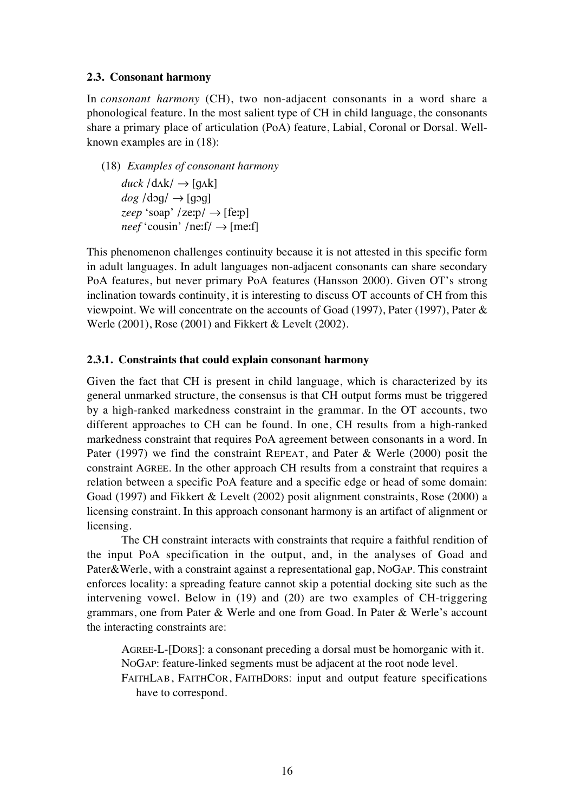## **2.3. Consonant harmony**

In *consonant harmony* (CH), two non-adjacent consonants in a word share a phonological feature. In the most salient type of CH in child language, the consonants share a primary place of articulation (PoA) feature, Labial, Coronal or Dorsal. Wellknown examples are in (18):

(18) *Examples of consonant harmony*  $duck / d\lambda k / \rightarrow [g\lambda k]$  $dog / dog / \rightarrow [q \circ q]$ *zeep* 'soap'  $\text{/zep/} \rightarrow \text{[ferp]}$ *neef* 'cousin' /ne:f/  $\rightarrow$  [me:f]

This phenomenon challenges continuity because it is not attested in this specific form in adult languages. In adult languages non-adjacent consonants can share secondary PoA features, but never primary PoA features (Hansson 2000). Given OT's strong inclination towards continuity, it is interesting to discuss OT accounts of CH from this viewpoint. We will concentrate on the accounts of Goad (1997), Pater (1997), Pater & Werle (2001), Rose (2001) and Fikkert & Levelt (2002).

#### **2.3.1. Constraints that could explain consonant harmony**

Given the fact that CH is present in child language, which is characterized by its general unmarked structure, the consensus is that CH output forms must be triggered by a high-ranked markedness constraint in the grammar. In the OT accounts, two different approaches to CH can be found. In one, CH results from a high-ranked markedness constraint that requires PoA agreement between consonants in a word. In Pater (1997) we find the constraint REPEAT, and Pater & Werle (2000) posit the constraint AGREE. In the other approach CH results from a constraint that requires a relation between a specific PoA feature and a specific edge or head of some domain: Goad (1997) and Fikkert & Levelt (2002) posit alignment constraints, Rose (2000) a licensing constraint. In this approach consonant harmony is an artifact of alignment or licensing.

The CH constraint interacts with constraints that require a faithful rendition of the input PoA specification in the output, and, in the analyses of Goad and Pater&Werle, with a constraint against a representational gap, NOGAP. This constraint enforces locality: a spreading feature cannot skip a potential docking site such as the intervening vowel. Below in (19) and (20) are two examples of CH-triggering grammars, one from Pater & Werle and one from Goad. In Pater & Werle's account the interacting constraints are:

AGREE-L-[DORS]: a consonant preceding a dorsal must be homorganic with it. NOGAP: feature-linked segments must be adjacent at the root node level. FAITHLAB, FAITHCOR, FAITHDORS: input and output feature specifications have to correspond.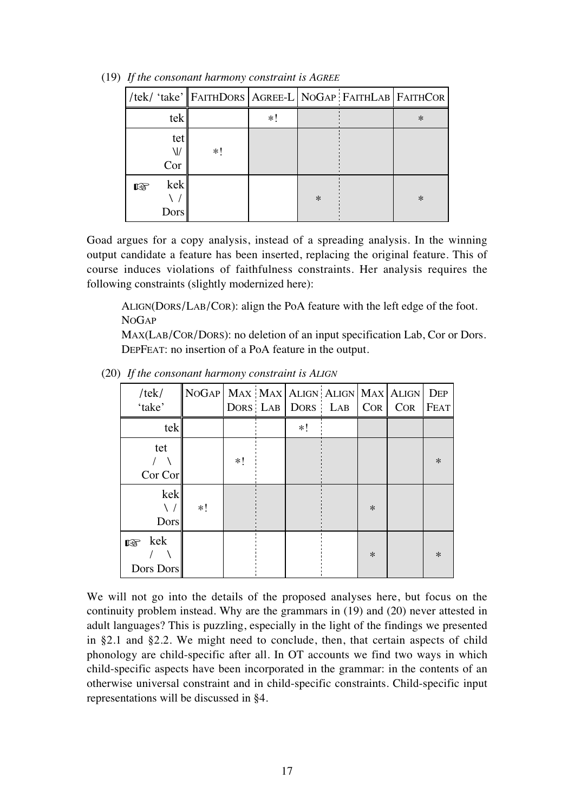|                  | /tek/ 'take' FAITHDORS   AGREE-L NOGAP FAITHLAB FAITHCOR |      |        |        |
|------------------|----------------------------------------------------------|------|--------|--------|
| tek              |                                                          | $*!$ |        | $\ast$ |
| tet<br>Cor       | $\ast$ 1                                                 |      |        |        |
| kek<br>隐<br>Dors |                                                          |      | $\ast$ | $\ast$ |

(19) *If the consonant harmony constraint is AGREE*

Goad argues for a copy analysis, instead of a spreading analysis. In the winning output candidate a feature has been inserted, replacing the original feature. This of course induces violations of faithfulness constraints. Her analysis requires the following constraints (slightly modernized here):

ALIGN(DORS/LAB/COR): align the PoA feature with the left edge of the foot. NOGAP

MAX(LAB/COR/DORS): no deletion of an input specification Lab, Cor or Dors. DEPFEAT: no insertion of a PoA feature in the output.

| /tek/<br>'take'               | NOGAP   MAX   MAX   ALIGN   ALIGN   MAX   ALIGN |      | DORS LAB DORS LAB | COR    | <b>COR</b> | DEP<br><b>FEAT</b> |
|-------------------------------|-------------------------------------------------|------|-------------------|--------|------------|--------------------|
| tek                           |                                                 |      | $*!$              |        |            |                    |
| tet<br>Cor Cor                |                                                 | $*!$ |                   |        |            | $\ast$             |
| kek<br>Dors                   | $*!$                                            |      |                   | $\ast$ |            |                    |
| $\mathbb{R}$ kek<br>Dors Dors |                                                 |      |                   | $\ast$ |            | $\ast$             |

(20) *If the consonant harmony constraint is ALIGN*

We will not go into the details of the proposed analyses here, but focus on the continuity problem instead. Why are the grammars in (19) and (20) never attested in adult languages? This is puzzling, especially in the light of the findings we presented in §2.1 and §2.2. We might need to conclude, then, that certain aspects of child phonology are child-specific after all. In OT accounts we find two ways in which child-specific aspects have been incorporated in the grammar: in the contents of an otherwise universal constraint and in child-specific constraints. Child-specific input representations will be discussed in §4.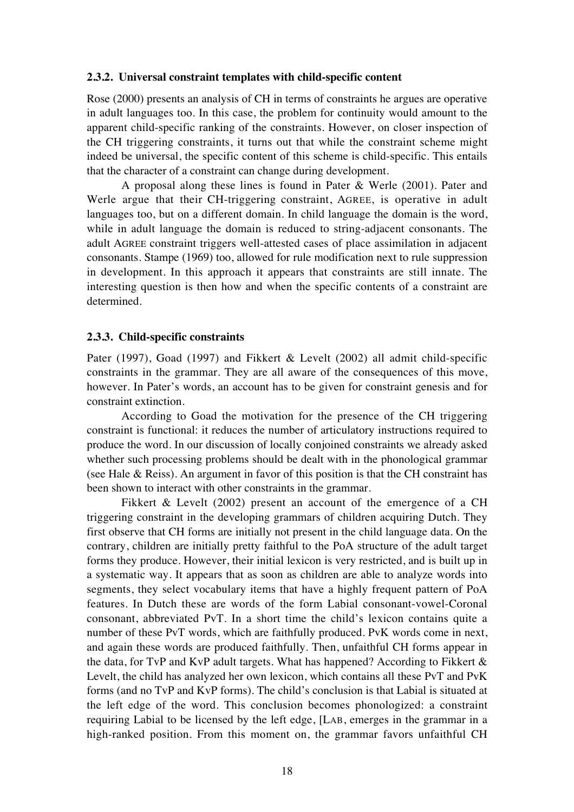### **2.3.2. Universal constraint templates with child-specific content**

Rose (2000) presents an analysis of CH in terms of constraints he argues are operative in adult languages too. In this case, the problem for continuity would amount to the apparent child-specific ranking of the constraints. However, on closer inspection of the CH triggering constraints, it turns out that while the constraint scheme might indeed be universal, the specific content of this scheme is child-specific. This entails that the character of a constraint can change during development.

A proposal along these lines is found in Pater & Werle (2001). Pater and Werle argue that their CH-triggering constraint, AGREE, is operative in adult languages too, but on a different domain. In child language the domain is the word, while in adult language the domain is reduced to string-adjacent consonants. The adult AGREE constraint triggers well-attested cases of place assimilation in adjacent consonants. Stampe (1969) too, allowed for rule modification next to rule suppression in development. In this approach it appears that constraints are still innate. The interesting question is then how and when the specific contents of a constraint are determined.

## **2.3.3. Child-specific constraints**

Pater (1997), Goad (1997) and Fikkert & Levelt (2002) all admit child-specific constraints in the grammar. They are all aware of the consequences of this move, however. In Pater's words, an account has to be given for constraint genesis and for constraint extinction.

According to Goad the motivation for the presence of the CH triggering constraint is functional: it reduces the number of articulatory instructions required to produce the word. In our discussion of locally conjoined constraints we already asked whether such processing problems should be dealt with in the phonological grammar (see Hale & Reiss). An argument in favor of this position is that the CH constraint has been shown to interact with other constraints in the grammar.

Fikkert & Levelt (2002) present an account of the emergence of a CH triggering constraint in the developing grammars of children acquiring Dutch. They first observe that CH forms are initially not present in the child language data. On the contrary, children are initially pretty faithful to the PoA structure of the adult target forms they produce. However, their initial lexicon is very restricted, and is built up in a systematic way. It appears that as soon as children are able to analyze words into segments, they select vocabulary items that have a highly frequent pattern of PoA features. In Dutch these are words of the form Labial consonant-vowel-Coronal consonant, abbreviated PvT. In a short time the child's lexicon contains quite a number of these PvT words, which are faithfully produced. PvK words come in next, and again these words are produced faithfully. Then, unfaithful CH forms appear in the data, for TvP and KvP adult targets. What has happened? According to Fikkert & Levelt, the child has analyzed her own lexicon, which contains all these PvT and PvK forms (and no TvP and KvP forms). The child's conclusion is that Labial is situated at the left edge of the word. This conclusion becomes phonologized: a constraint requiring Labial to be licensed by the left edge, [LAB, emerges in the grammar in a high-ranked position. From this moment on, the grammar favors unfaithful CH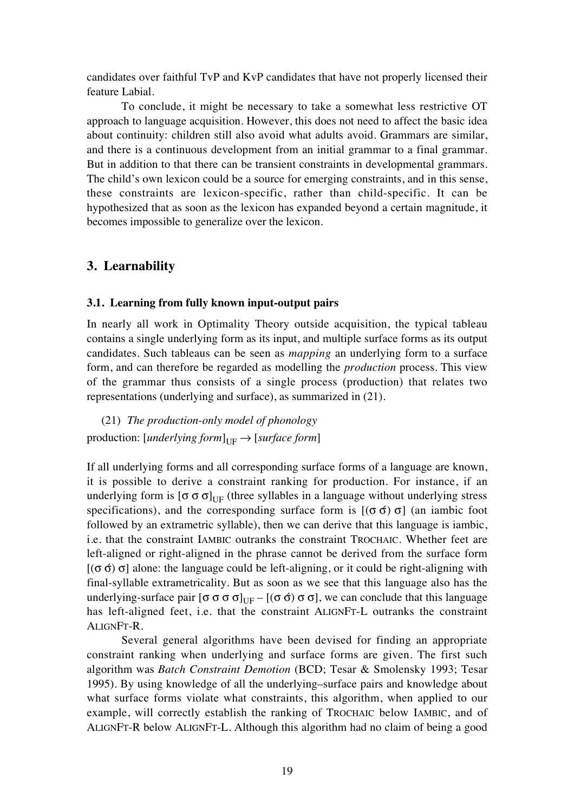candidates over faithful TvP and KvP candidates that have not properly licensed their feature Labial.

To conclude, it might be necessary to take a somewhat less restrictive OT approach to language acquisition. However, this does not need to affect the basic idea about continuity: children still also avoid what adults avoid. Grammars are similar, and there is a continuous development from an initial grammar to a final grammar. But in addition to that there can be transient constraints in developmental grammars. The child's own lexicon could be a source for emerging constraints, and in this sense, these constraints are lexicon-specific, rather than child-specific. It can be hypothesized that as soon as the lexicon has expanded beyond a certain magnitude, it becomes impossible to generalize over the lexicon.

## **3. Learnability**

## **3.1. Learning from fully known input-output pairs**

In nearly all work in Optimality Theory outside acquisition, the typical tableau contains a single underlying form as its input, and multiple surface forms as its output candidates. Such tableaus can be seen as *mapping* an underlying form to a surface form, and can therefore be regarded as modelling the *production* process. This view of the grammar thus consists of a single process (production) that relates two representations (underlying and surface), as summarized in (21).

(21) *The production-only model of phonology* production: [*underlying form*] $_{\text{HF}} \rightarrow$  [*surface form*]

If all underlying forms and all corresponding surface forms of a language are known, it is possible to derive a constraint ranking for production. For instance, if an underlying form is  $[\sigma \sigma \sigma]_{\text{HF}}$  (three syllables in a language without underlying stress specifications), and the corresponding surface form is  $[(\sigma \sigma) \sigma]$  (an iambic foot followed by an extrametric syllable), then we can derive that this language is iambic, i.e. that the constraint IAMBIC outranks the constraint TROCHAIC. Whether feet are left-aligned or right-aligned in the phrase cannot be derived from the surface form  $[(σ σ) σ]$  alone: the language could be left-aligning, or it could be right-aligning with final-syllable extrametricality. But as soon as we see that this language also has the underlying-surface pair  $[\sigma \sigma \sigma \sigma]_{\text{UF}} - [(\sigma \sigma) \sigma \sigma]$ , we can conclude that this language has left-aligned feet, i.e. that the constraint ALIGNFT-L outranks the constraint ALIGNFT-R.

Several general algorithms have been devised for finding an appropriate constraint ranking when underlying and surface forms are given. The first such algorithm was *Batch Constraint Demotion* (BCD; Tesar & Smolensky 1993; Tesar 1995). By using knowledge of all the underlying–surface pairs and knowledge about what surface forms violate what constraints, this algorithm, when applied to our example, will correctly establish the ranking of TROCHAIC below IAMBIC, and of ALIGNFT-R below ALIGNFT-L. Although this algorithm had no claim of being a good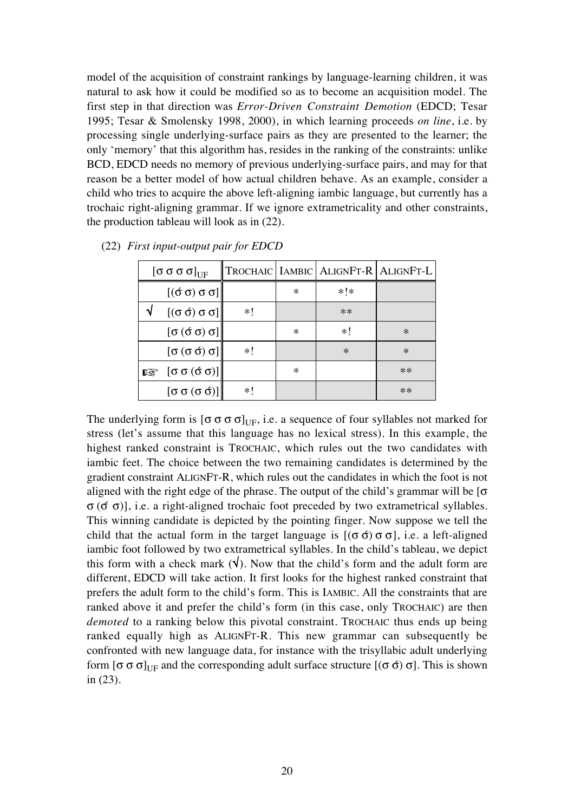model of the acquisition of constraint rankings by language-learning children, it was natural to ask how it could be modified so as to become an acquisition model. The first step in that direction was *Error-Driven Constraint Demotion* (EDCD; Tesar 1995; Tesar & Smolensky 1998, 2000), in which learning proceeds *on line*, i.e. by processing single underlying-surface pairs as they are presented to the learner; the only 'memory' that this algorithm has, resides in the ranking of the constraints: unlike BCD, EDCD needs no memory of previous underlying-surface pairs, and may for that reason be a better model of how actual children behave. As an example, consider a child who tries to acquire the above left-aligning iambic language, but currently has a trochaic right-aligning grammar. If we ignore extrametricality and other constraints, the production tableau will look as in (22).

| $[\sigma \sigma \sigma \sigma]_{\text{UF}}$                           |          |        | TROCHAIC   IAMBIC   ALIGNFT-R   ALIGNFT-L |        |
|-----------------------------------------------------------------------|----------|--------|-------------------------------------------|--------|
| $[(\acute{\sigma}\,\sigma)\,\sigma\,\sigma]$                          |          | $\ast$ | $*!*$                                     |        |
| $[(\sigma \acute{\sigma}) \sigma \sigma]$                             | $*!$     |        | $**$                                      |        |
| $\left[\sigma\left(\acute{\sigma}\,\sigma\right)\sigma\right]\right $ |          | $\ast$ | $*!$                                      | $\ast$ |
| $\left[\sigma\left(\sigma\right)\dot{\sigma}\right]$                  | $*!$     |        | $\ast$                                    | $\ast$ |
| $\mathbb{R}$ [σ σ (σ σ)]                                              |          | $\ast$ |                                           | $**$   |
| $\left[\sigma\sigma\left(\sigma\sigma\right)\right]$                  | $\ast$ 1 |        |                                           | $**$   |

(22) *First input-output pair for EDCD*

The underlying form is  $[\sigma \sigma \sigma \sigma]_{\text{UE}}$ , i.e. a sequence of four syllables not marked for stress (let's assume that this language has no lexical stress). In this example, the highest ranked constraint is TROCHAIC, which rules out the two candidates with iambic feet. The choice between the two remaining candidates is determined by the gradient constraint ALIGNFT-R, which rules out the candidates in which the foot is not aligned with the right edge of the phrase. The output of the child's grammar will be  $\sigma$ σ (σ σ)], i.e. a right-aligned trochaic foot preceded by two extrametrical syllables. This winning candidate is depicted by the pointing finger. Now suppose we tell the child that the actual form in the target language is  $[(\sigma \sigma) \sigma \sigma]$ , i.e. a left-aligned iambic foot followed by two extrametrical syllables. In the child's tableau, we depict this form with a check mark  $(\forall)$ . Now that the child's form and the adult form are different, EDCD will take action. It first looks for the highest ranked constraint that prefers the adult form to the child's form. This is IAMBIC. All the constraints that are ranked above it and prefer the child's form (in this case, only TROCHAIC) are then *demoted* to a ranking below this pivotal constraint. TROCHAIC thus ends up being ranked equally high as ALIGNFT-R. This new grammar can subsequently be confronted with new language data, for instance with the trisyllabic adult underlying form [σ σ σ]<sub>UF</sub> and the corresponding adult surface structure [(σ σ) σ]. This is shown in (23).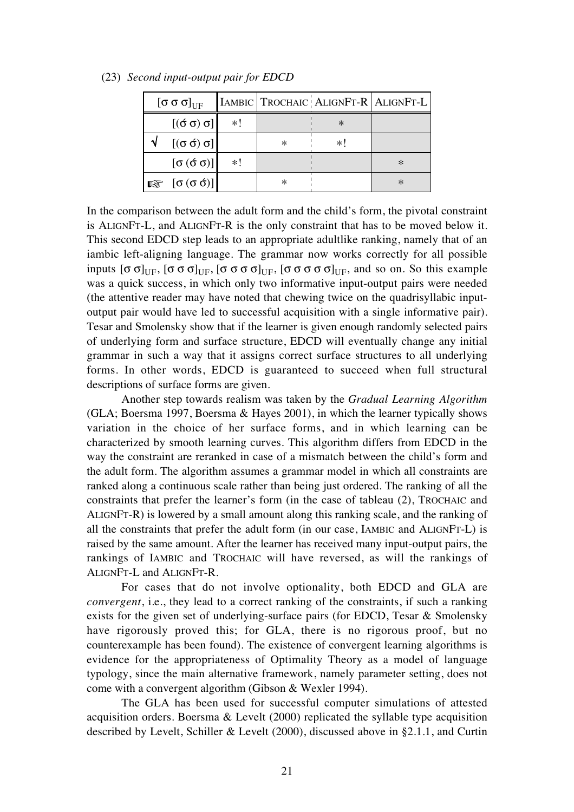| $[\alpha \alpha \alpha]^{IIE}$                 |      |           | LAMBIC TROCHAIC ALIGNFT-R ALIGNFT-L |  |
|------------------------------------------------|------|-----------|-------------------------------------|--|
| $[(\vec{\sigma} \vec{\sigma}) \vec{\sigma}]$   | $*!$ |           | ∗                                   |  |
| $[(\sigma \vec{\sigma}) \vec{\sigma}]$         |      | $^{\ast}$ | $\ast$ 1                            |  |
| $\left[\sigma\left(\sigma\sigma\right)\right]$ | $*!$ |           |                                     |  |
| $\mathbb{R}$ [σ (σ σ΄)]                        |      |           |                                     |  |

(23) *Second input-output pair for EDCD*

In the comparison between the adult form and the child's form, the pivotal constraint is ALIGNFT-L, and ALIGNFT-R is the only constraint that has to be moved below it. This second EDCD step leads to an appropriate adultlike ranking, namely that of an iambic left-aligning language. The grammar now works correctly for all possible inputs  $[\sigma \sigma]_{\text{UE}}$ ,  $[\sigma \sigma \sigma]_{\text{UE}}$ ,  $[\sigma \sigma \sigma \sigma]_{\text{UE}}$ ,  $[\sigma \sigma \sigma \sigma \sigma]_{\text{UE}}$ , and so on. So this example was a quick success, in which only two informative input-output pairs were needed (the attentive reader may have noted that chewing twice on the quadrisyllabic inputoutput pair would have led to successful acquisition with a single informative pair). Tesar and Smolensky show that if the learner is given enough randomly selected pairs of underlying form and surface structure, EDCD will eventually change any initial grammar in such a way that it assigns correct surface structures to all underlying forms. In other words, EDCD is guaranteed to succeed when full structural descriptions of surface forms are given.

Another step towards realism was taken by the *Gradual Learning Algorithm* (GLA; Boersma 1997, Boersma & Hayes 2001), in which the learner typically shows variation in the choice of her surface forms, and in which learning can be characterized by smooth learning curves. This algorithm differs from EDCD in the way the constraint are reranked in case of a mismatch between the child's form and the adult form. The algorithm assumes a grammar model in which all constraints are ranked along a continuous scale rather than being just ordered. The ranking of all the constraints that prefer the learner's form (in the case of tableau (2), TROCHAIC and ALIGNFT-R) is lowered by a small amount along this ranking scale, and the ranking of all the constraints that prefer the adult form (in our case, IAMBIC and ALIGNFT-L) is raised by the same amount. After the learner has received many input-output pairs, the rankings of IAMBIC and TROCHAIC will have reversed, as will the rankings of ALIGNFT-L and ALIGNFT-R.

For cases that do not involve optionality, both EDCD and GLA are *convergent*, i.e., they lead to a correct ranking of the constraints, if such a ranking exists for the given set of underlying-surface pairs (for EDCD, Tesar & Smolensky have rigorously proved this; for GLA, there is no rigorous proof, but no counterexample has been found). The existence of convergent learning algorithms is evidence for the appropriateness of Optimality Theory as a model of language typology, since the main alternative framework, namely parameter setting, does not come with a convergent algorithm (Gibson & Wexler 1994).

The GLA has been used for successful computer simulations of attested acquisition orders. Boersma & Levelt (2000) replicated the syllable type acquisition described by Levelt, Schiller & Levelt (2000), discussed above in §2.1.1, and Curtin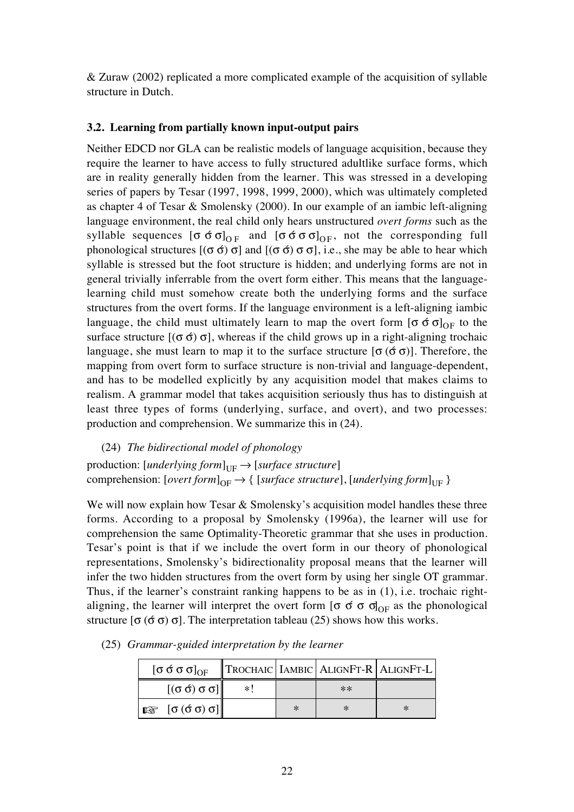& Zuraw (2002) replicated a more complicated example of the acquisition of syllable structure in Dutch.

## **3.2. Learning from partially known input-output pairs**

Neither EDCD nor GLA can be realistic models of language acquisition, because they require the learner to have access to fully structured adultlike surface forms, which are in reality generally hidden from the learner. This was stressed in a developing series of papers by Tesar (1997, 1998, 1999, 2000), which was ultimately completed as chapter 4 of Tesar & Smolensky (2000). In our example of an iambic left-aligning language environment, the real child only hears unstructured *overt forms* such as the syllable sequences  $[\sigma \dot{\sigma} \sigma]_{\text{OF}}$  and  $[\sigma \dot{\sigma} \sigma \sigma]_{\text{OF}}$ , not the corresponding full phonological structures  $[(σ σ) σ]$  and  $[(σ σ) σ σ]$ , i.e., she may be able to hear which syllable is stressed but the foot structure is hidden; and underlying forms are not in general trivially inferrable from the overt form either. This means that the languagelearning child must somehow create both the underlying forms and the surface structures from the overt forms. If the language environment is a left-aligning iambic language, the child must ultimately learn to map the overt form  $[\sigma \dot{\sigma} \sigma]_{\text{OF}}$  to the surface structure  $[(\sigma \sigma) \sigma]$ , whereas if the child grows up in a right-aligning trochaic language, she must learn to map it to the surface structure  $[\sigma(\acute{\sigma}\sigma)]$ . Therefore, the mapping from overt form to surface structure is non-trivial and language-dependent, and has to be modelled explicitly by any acquisition model that makes claims to realism. A grammar model that takes acquisition seriously thus has to distinguish at least three types of forms (underlying, surface, and overt), and two processes: production and comprehension. We summarize this in (24).

(24) *The bidirectional model of phonology* production: [*underlying form*] $_{\text{UF}} \rightarrow$  [*surface structure*] comprehension:  $[overform]_{\text{OF}} \rightarrow \{ [surface structure], [underlying form]_{\text{HF}} \}$ 

We will now explain how Tesar & Smolensky's acquisition model handles these three forms. According to a proposal by Smolensky (1996a), the learner will use for comprehension the same Optimality-Theoretic grammar that she uses in production. Tesar's point is that if we include the overt form in our theory of phonological representations, Smolensky's bidirectionality proposal means that the learner will infer the two hidden structures from the overt form by using her single OT grammar. Thus, if the learner's constraint ranking happens to be as in (1), i.e. trochaic rightaligning, the learner will interpret the overt form [ $\sigma$   $\sigma$   $\sigma$ ]<sub>OF</sub> as the phonological structure  $\lceil \sigma(\sigma \sigma) \sigma \rceil$ . The interpretation tableau (25) shows how this works.

| $[\sigma \acute{\sigma} \sigma \sigma]_{\Omega F}$ |    |        | TROCHAIC   IAMBIC   ALIGNFT-R   ALIGNFT-L |  |
|----------------------------------------------------|----|--------|-------------------------------------------|--|
| $[(\sigma \sigma) \sigma \sigma]$                  | *۱ |        | $**$                                      |  |
| $\mathbb{R}$ [σ (σ σ) σ]                           |    | $\ast$ |                                           |  |

(25) *Grammar-guided interpretation by the learner*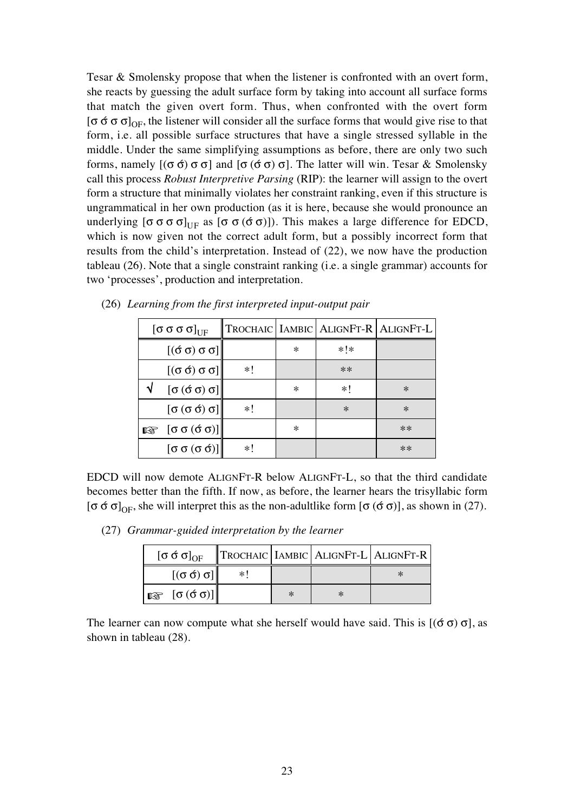Tesar & Smolensky propose that when the listener is confronted with an overt form, she reacts by guessing the adult surface form by taking into account all surface forms that match the given overt form. Thus, when confronted with the overt form [ $\sigma$   $\sigma$   $\sigma$ ]<sub>OF</sub>, the listener will consider all the surface forms that would give rise to that form, i.e. all possible surface structures that have a single stressed syllable in the middle. Under the same simplifying assumptions as before, there are only two such forms, namely  $[(σ σ) σ σ]$  and  $[σ (σ σ) σ]$ . The latter will win. Tesar & Smolensky call this process *Robust Interpretive Parsing* (RIP): the learner will assign to the overt form a structure that minimally violates her constraint ranking, even if this structure is ungrammatical in her own production (as it is here, because she would pronounce an underlying  $[\sigma \sigma \sigma \sigma]_{\text{HF}}$  as  $[\sigma \sigma (\sigma \sigma)]$ ). This makes a large difference for EDCD, which is now given not the correct adult form, but a possibly incorrect form that results from the child's interpretation. Instead of (22), we now have the production tableau (26). Note that a single constraint ranking (i.e. a single grammar) accounts for two 'processes', production and interpretation.

| $[\sigma \sigma \sigma \sigma]_{\text{UF}}$                         |      |        | TROCHAIC   IAMBIC   ALIGNFT-R   ALIGNFT-L |        |
|---------------------------------------------------------------------|------|--------|-------------------------------------------|--------|
| $[(\acute{\sigma}\,\sigma)\,\sigma\,\sigma]$                        |      | ∗      | $*!*$                                     |        |
| $[(\sigma \acute{\sigma}) \sigma \sigma]$                           | $*!$ |        | $**$                                      |        |
| $\left[\sigma\left(\sigma\sigma\right)\sigma\right]\right $         |      | $\ast$ | $*!$                                      | $\ast$ |
| $\left[\sigma\left(\sigma\right)\dot{\sigma}\right]\right $         | $*!$ |        | $\ast$                                    | $\ast$ |
| $\mathbb{R}$ [σ σ (σ σ)]                                            |      | $\ast$ |                                           | $**$   |
| $\left[\sigma\sigma\left(\sigma\,\dot{\sigma}\right)\right]\right $ | $*!$ |        |                                           | $**$   |

|  |  | (26) Learning from the first interpreted input-output pair |  |
|--|--|------------------------------------------------------------|--|

EDCD will now demote ALIGNFT-R below ALIGNFT-L, so that the third candidate becomes better than the fifth. If now, as before, the learner hears the trisyllabic form [σ σ σ]<sub>OF</sub>, she will interpret this as the non-adultlike form [σ (σ σ)], as shown in (27).

(27) *Grammar-guided interpretation by the learner*

| $[\sigma \acute{\sigma} \sigma]_{\text{OF}}$ |      |        | TROCHAIC   IAMBIC   ALIGNFT-L   ALIGNFT-R |
|----------------------------------------------|------|--------|-------------------------------------------|
| $[(\sigma \vec{\sigma}) \vec{\sigma}]$       | $*!$ |        |                                           |
| $\mathbb{R}$ $\sigma$ ( $\sigma$ $\sigma$ )] |      | $\ast$ |                                           |

The learner can now compute what she herself would have said. This is  $[(\vec{\sigma}, \vec{\sigma}) \vec{\sigma}]$ , as shown in tableau (28).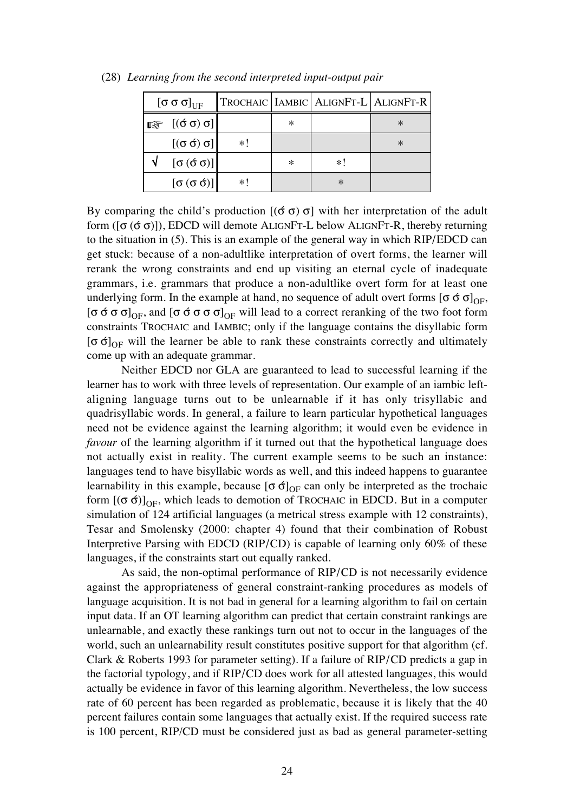| $[\sigma \sigma \sigma]_{\rm UF}$                      |      |        | TROCHAIC   IAMBIC   ALIGNFT-L   ALIGNFT-R |        |
|--------------------------------------------------------|------|--------|-------------------------------------------|--------|
| $\mathbb{R}$ $[(\phi \sigma) \sigma]$                  |      | $\ast$ |                                           | $\ast$ |
| $[(\sigma \vec{\sigma}) \vec{\sigma}]$                 | $*!$ |        |                                           | $\ast$ |
| $\left[\sigma\left(\sigma\sigma\right)\right]$         |      | ∗      | $\ast$ 1                                  |        |
| $\left[\sigma\left(\sigma\,\dot{\sigma}\right)\right]$ | $*!$ |        | ∗                                         |        |

(28) *Learning from the second interpreted input-output pair*

By comparing the child's production  $[(σ σ) σ]$  with her interpretation of the adult form ([σ (σ σ)]), EDCD will demote ALIGNFT-L below ALIGNFT-R, thereby returning to the situation in (5). This is an example of the general way in which RIP/EDCD can get stuck: because of a non-adultlike interpretation of overt forms, the learner will rerank the wrong constraints and end up visiting an eternal cycle of inadequate grammars, i.e. grammars that produce a non-adultlike overt form for at least one underlying form. In the example at hand, no sequence of adult overt forms  $[\sigma \dot{\sigma} \sigma]_{\text{OF}}$ ,  $[\sigma \sigma \sigma \sigma]_{\text{OE}}$ , and  $[\sigma \sigma \sigma \sigma \sigma]_{\text{OE}}$  will lead to a correct reranking of the two foot form constraints TROCHAIC and IAMBIC; only if the language contains the disyllabic form  $[\sigma \sigma]_{\text{OF}}$  will the learner be able to rank these constraints correctly and ultimately come up with an adequate grammar.

Neither EDCD nor GLA are guaranteed to lead to successful learning if the learner has to work with three levels of representation. Our example of an iambic leftaligning language turns out to be unlearnable if it has only trisyllabic and quadrisyllabic words. In general, a failure to learn particular hypothetical languages need not be evidence against the learning algorithm; it would even be evidence in *favour* of the learning algorithm if it turned out that the hypothetical language does not actually exist in reality. The current example seems to be such an instance: languages tend to have bisyllabic words as well, and this indeed happens to guarantee learnability in this example, because  $[\sigma \sigma]_{\text{OF}}$  can only be interpreted as the trochaic form  $[(\sigma \sigma)]_{\text{OF}}$ , which leads to demotion of TROCHAIC in EDCD. But in a computer simulation of 124 artificial languages (a metrical stress example with 12 constraints), Tesar and Smolensky (2000: chapter 4) found that their combination of Robust Interpretive Parsing with EDCD (RIP/CD) is capable of learning only 60% of these languages, if the constraints start out equally ranked.

As said, the non-optimal performance of RIP/CD is not necessarily evidence against the appropriateness of general constraint-ranking procedures as models of language acquisition. It is not bad in general for a learning algorithm to fail on certain input data. If an OT learning algorithm can predict that certain constraint rankings are unlearnable, and exactly these rankings turn out not to occur in the languages of the world, such an unlearnability result constitutes positive support for that algorithm (cf. Clark & Roberts 1993 for parameter setting). If a failure of RIP/CD predicts a gap in the factorial typology, and if RIP/CD does work for all attested languages, this would actually be evidence in favor of this learning algorithm. Nevertheless, the low success rate of 60 percent has been regarded as problematic, because it is likely that the 40 percent failures contain some languages that actually exist. If the required success rate is 100 percent, RIP/CD must be considered just as bad as general parameter-setting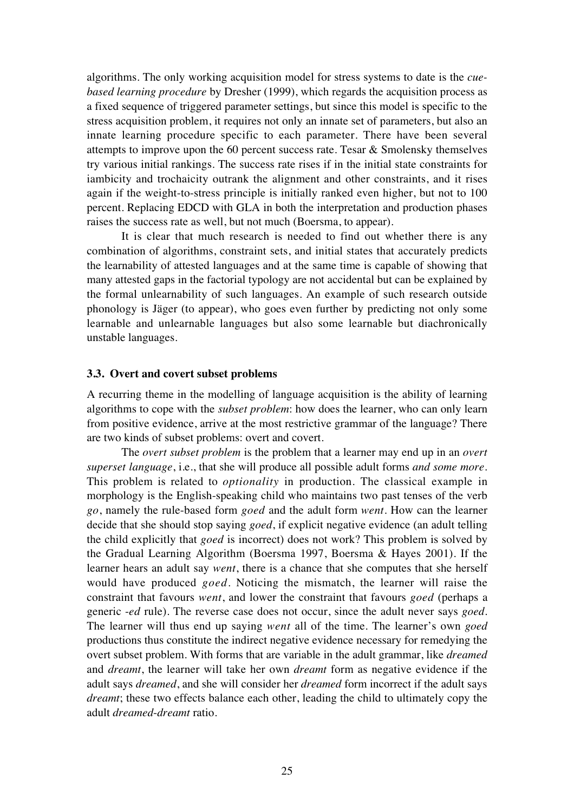algorithms. The only working acquisition model for stress systems to date is the *cuebased learning procedure* by Dresher (1999), which regards the acquisition process as a fixed sequence of triggered parameter settings, but since this model is specific to the stress acquisition problem, it requires not only an innate set of parameters, but also an innate learning procedure specific to each parameter. There have been several attempts to improve upon the 60 percent success rate. Tesar & Smolensky themselves try various initial rankings. The success rate rises if in the initial state constraints for iambicity and trochaicity outrank the alignment and other constraints, and it rises again if the weight-to-stress principle is initially ranked even higher, but not to 100 percent. Replacing EDCD with GLA in both the interpretation and production phases raises the success rate as well, but not much (Boersma, to appear).

It is clear that much research is needed to find out whether there is any combination of algorithms, constraint sets, and initial states that accurately predicts the learnability of attested languages and at the same time is capable of showing that many attested gaps in the factorial typology are not accidental but can be explained by the formal unlearnability of such languages. An example of such research outside phonology is Jäger (to appear), who goes even further by predicting not only some learnable and unlearnable languages but also some learnable but diachronically unstable languages.

## **3.3. Overt and covert subset problems**

A recurring theme in the modelling of language acquisition is the ability of learning algorithms to cope with the *subset problem*: how does the learner, who can only learn from positive evidence, arrive at the most restrictive grammar of the language? There are two kinds of subset problems: overt and covert.

The *overt subset problem* is the problem that a learner may end up in an *overt superset language*, i.e., that she will produce all possible adult forms *and some more*. This problem is related to *optionality* in production. The classical example in morphology is the English-speaking child who maintains two past tenses of the verb *go*, namely the rule-based form *goed* and the adult form *went*. How can the learner decide that she should stop saying *goed*, if explicit negative evidence (an adult telling the child explicitly that *goed* is incorrect) does not work? This problem is solved by the Gradual Learning Algorithm (Boersma 1997, Boersma & Hayes 2001). If the learner hears an adult say *went*, there is a chance that she computes that she herself would have produced *goed*. Noticing the mismatch, the learner will raise the constraint that favours *went*, and lower the constraint that favours *goed* (perhaps a generic -*ed* rule). The reverse case does not occur, since the adult never says *goed*. The learner will thus end up saying *went* all of the time. The learner's own *goed* productions thus constitute the indirect negative evidence necessary for remedying the overt subset problem. With forms that are variable in the adult grammar, like *dreamed* and *dreamt*, the learner will take her own *dreamt* form as negative evidence if the adult says *dreamed*, and she will consider her *dreamed* form incorrect if the adult says *dreamt*; these two effects balance each other, leading the child to ultimately copy the adult *dreamed*-*dreamt* ratio.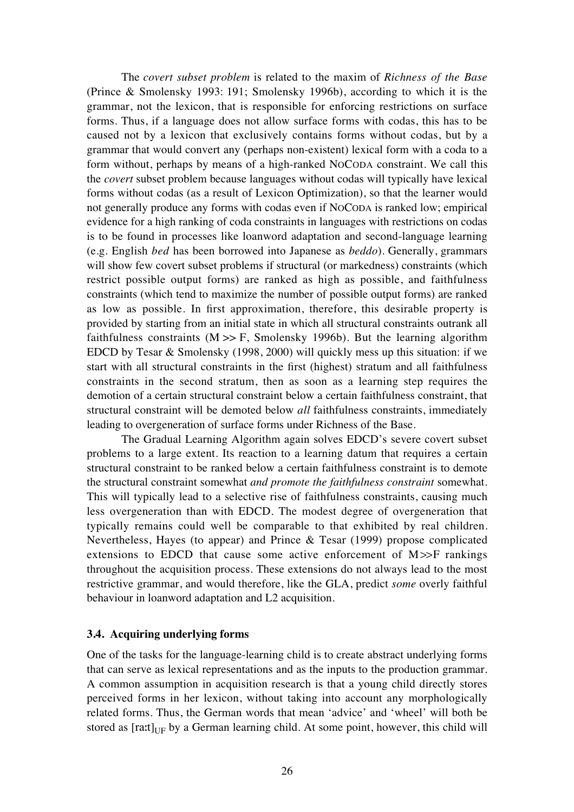The *covert subset problem* is related to the maxim of *Richness of the Base* (Prince & Smolensky 1993: 191; Smolensky 1996b), according to which it is the grammar, not the lexicon, that is responsible for enforcing restrictions on surface forms. Thus, if a language does not allow surface forms with codas, this has to be caused not by a lexicon that exclusively contains forms without codas, but by a grammar that would convert any (perhaps non-existent) lexical form with a coda to a form without, perhaps by means of a high-ranked NOCODA constraint. We call this the *covert* subset problem because languages without codas will typically have lexical forms without codas (as a result of Lexicon Optimization), so that the learner would not generally produce any forms with codas even if NOCODA is ranked low; empirical evidence for a high ranking of coda constraints in languages with restrictions on codas is to be found in processes like loanword adaptation and second-language learning (e.g. English *bed* has been borrowed into Japanese as *beddo*). Generally, grammars will show few covert subset problems if structural (or markedness) constraints (which restrict possible output forms) are ranked as high as possible, and faithfulness constraints (which tend to maximize the number of possible output forms) are ranked as low as possible. In first approximation, therefore, this desirable property is provided by starting from an initial state in which all structural constraints outrank all faithfulness constraints  $(M \gg F,$  Smolensky 1996b). But the learning algorithm EDCD by Tesar & Smolensky (1998, 2000) will quickly mess up this situation: if we start with all structural constraints in the first (highest) stratum and all faithfulness constraints in the second stratum, then as soon as a learning step requires the demotion of a certain structural constraint below a certain faithfulness constraint, that structural constraint will be demoted below *all* faithfulness constraints, immediately leading to overgeneration of surface forms under Richness of the Base.

The Gradual Learning Algorithm again solves EDCD's severe covert subset problems to a large extent. Its reaction to a learning datum that requires a certain structural constraint to be ranked below a certain faithfulness constraint is to demote the structural constraint somewhat *and promote the faithfulness constraint* somewhat. This will typically lead to a selective rise of faithfulness constraints, causing much less overgeneration than with EDCD. The modest degree of overgeneration that typically remains could well be comparable to that exhibited by real children. Nevertheless, Hayes (to appear) and Prince & Tesar (1999) propose complicated extensions to EDCD that cause some active enforcement of M>>F rankings throughout the acquisition process. These extensions do not always lead to the most restrictive grammar, and would therefore, like the GLA, predict *some* overly faithful behaviour in loanword adaptation and L2 acquisition.

## **3.4. Acquiring underlying forms**

One of the tasks for the language-learning child is to create abstract underlying forms that can serve as lexical representations and as the inputs to the production grammar. A common assumption in acquisition research is that a young child directly stores perceived forms in her lexicon, without taking into account any morphologically related forms. Thus, the German words that mean 'advice' and 'wheel' will both be stored as  $[\text{rat}]_{\text{HF}}$  by a German learning child. At some point, however, this child will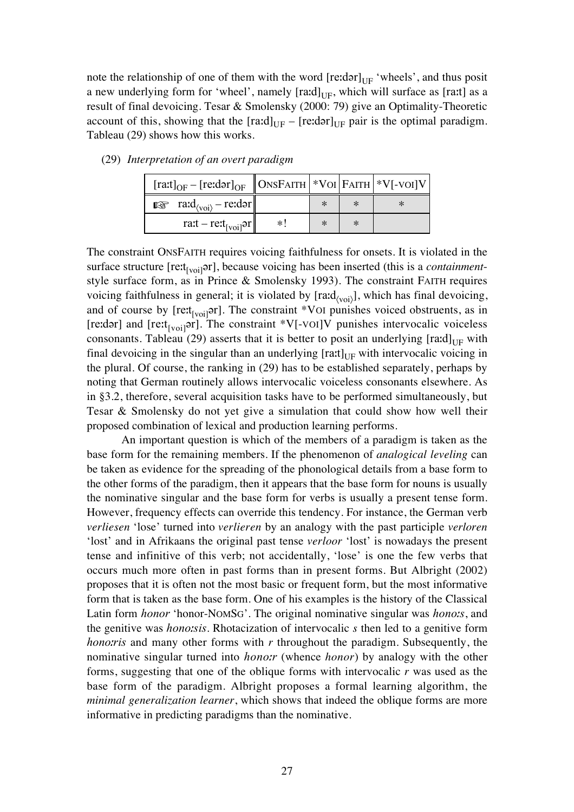note the relationship of one of them with the word  $[{\rm redor}]_{\rm UF}$  'wheels', and thus posit a new underlying form for 'wheel', namely  $[rad]_{\text{UE}}$ , which will surface as  $[rat]$  as a result of final devoicing. Tesar & Smolensky (2000: 79) give an Optimality-Theoretic account of this, showing that the  $[rad]_{\text{UE}} - [redar]_{\text{UE}}$  pair is the optimal paradigm. Tableau (29) shows how this works.

| $[\text{ratt}]_{\text{OF}} - [\text{re:der}]_{\text{OF}}$    ONSFAITH   *VOI   FAITH   *V[-VOI]V |      |        |        |  |
|--------------------------------------------------------------------------------------------------|------|--------|--------|--|
| $\mathbb{R}$ ra: $d_{\langle \text{voi} \rangle}$ – re:dər                                       |      |        |        |  |
| ra: $t - \text{rect}_{\text{[voi]}}$ ər                                                          | $*1$ | $\ast$ | $\ast$ |  |

(29) *Interpretation of an overt paradigm*

The constraint ONSFAITH requires voicing faithfulness for onsets. It is violated in the surface structure [re:t<sub>[voi]</sub>or], because voicing has been inserted (this is a *containment*style surface form, as in Prince & Smolensky 1993). The constraint FAITH requires voicing faithfulness in general; it is violated by  $[{\rm rad}_{\langle {\rm void} \rangle}]$ , which has final devoicing, and of course by [re: $t_{\text{[voi]}}$  $\sigma$ ]. The constraint \*VOI punishes voiced obstruents, as in [re:dər] and [re: $t_{\text{[void]}}$ ər]. The constraint \*V[-VOI]V punishes intervocalic voiceless consonants. Tableau (29) asserts that it is better to posit an underlying  $[\text{rad}]_{\text{UF}}$  with final devoicing in the singular than an underlying  $[\text{ratt}]_{\text{HF}}$  with intervocalic voicing in the plural. Of course, the ranking in (29) has to be established separately, perhaps by noting that German routinely allows intervocalic voiceless consonants elsewhere. As in §3.2, therefore, several acquisition tasks have to be performed simultaneously, but Tesar & Smolensky do not yet give a simulation that could show how well their proposed combination of lexical and production learning performs.

An important question is which of the members of a paradigm is taken as the base form for the remaining members. If the phenomenon of *analogical leveling* can be taken as evidence for the spreading of the phonological details from a base form to the other forms of the paradigm, then it appears that the base form for nouns is usually the nominative singular and the base form for verbs is usually a present tense form. However, frequency effects can override this tendency. For instance, the German verb *verliesen* 'lose' turned into *verlieren* by an analogy with the past participle *verloren* 'lost' and in Afrikaans the original past tense *verloor* 'lost' is nowadays the present tense and infinitive of this verb; not accidentally, 'lose' is one the few verbs that occurs much more often in past forms than in present forms. But Albright (2002) proposes that it is often not the most basic or frequent form, but the most informative form that is taken as the base form. One of his examples is the history of the Classical Latin form *honor* 'honor-NOMSG'. The original nominative singular was *honos*, and the genitive was *honosis*. Rhotacization of intervocalic *s* then led to a genitive form *honoris* and many other forms with *r* throughout the paradigm. Subsequently, the nominative singular turned into *honor* (whence *honor*) by analogy with the other forms, suggesting that one of the oblique forms with intervocalic *r* was used as the base form of the paradigm. Albright proposes a formal learning algorithm, the *minimal generalization learner*, which shows that indeed the oblique forms are more informative in predicting paradigms than the nominative.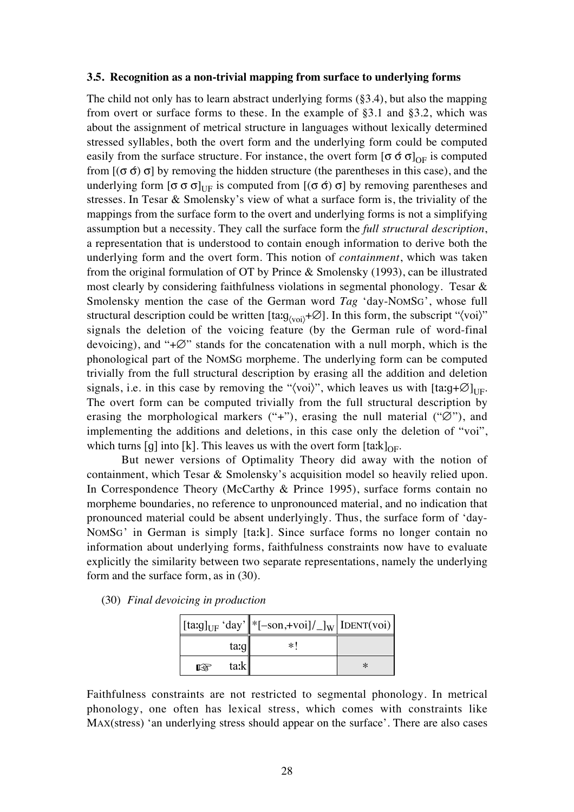#### **3.5. Recognition as a non-trivial mapping from surface to underlying forms**

The child not only has to learn abstract underlying forms (§3.4), but also the mapping from overt or surface forms to these. In the example of §3.1 and §3.2, which was about the assignment of metrical structure in languages without lexically determined stressed syllables, both the overt form and the underlying form could be computed easily from the surface structure. For instance, the overt form  $[\sigma \dot{\sigma} \sigma]_{\text{OF}}$  is computed from  $[(σ σ) σ]$  by removing the hidden structure (the parentheses in this case), and the underlying form  $[\sigma \sigma \sigma]_{\text{HF}}$  is computed from  $[(\sigma \sigma) \sigma]$  by removing parentheses and stresses. In Tesar & Smolensky's view of what a surface form is, the triviality of the mappings from the surface form to the overt and underlying forms is not a simplifying assumption but a necessity. They call the surface form the *full structural description*, a representation that is understood to contain enough information to derive both the underlying form and the overt form. This notion of *containment*, which was taken from the original formulation of OT by Prince & Smolensky (1993), can be illustrated most clearly by considering faithfulness violations in segmental phonology. Tesar & Smolensky mention the case of the German word *Tag* 'day-NOMSG', whose full structural description could be written  $[\text{ta:g}_{\langle \text{voi} \rangle} + \emptyset]$ . In this form, the subscript " $\langle \text{voi} \rangle$ " signals the deletion of the voicing feature (by the German rule of word-final devoicing), and "+∅" stands for the concatenation with a null morph, which is the phonological part of the NOMSG morpheme. The underlying form can be computed trivially from the full structural description by erasing all the addition and deletion signals, i.e. in this case by removing the " $\langle \text{voi} \rangle$ ", which leaves us with  $[ta:g+\varnothing]_{UF}$ . The overt form can be computed trivially from the full structural description by erasing the morphological markers ("+"), erasing the null material ("∅"), and implementing the additions and deletions, in this case only the deletion of "voi", which turns [g] into [k]. This leaves us with the overt form  $[ta:k]_{OF}$ .

But newer versions of Optimality Theory did away with the notion of containment, which Tesar & Smolensky's acquisition model so heavily relied upon. In Correspondence Theory (McCarthy & Prince 1995), surface forms contain no morpheme boundaries, no reference to unpronounced material, and no indication that pronounced material could be absent underlyingly. Thus, the surface form of 'day-NOMSG' in German is simply [tak]. Since surface forms no longer contain no information about underlying forms, faithfulness constraints now have to evaluate explicitly the similarity between two separate representations, namely the underlying form and the surface form, as in (30).

|     |      | $\left  \frac{\text{[tag]}}{\text{[F}} \cdot \text{day'} \right  * [-\text{son}, +\text{voi}]/\text{J}_W \right  \text{IDENT}( \text{voi} )$ |        |
|-----|------|----------------------------------------------------------------------------------------------------------------------------------------------|--------|
|     | ta:q | $*!$                                                                                                                                         |        |
| िके | ta:k |                                                                                                                                              | $\ast$ |

(30) *Final devoicing in production*

Faithfulness constraints are not restricted to segmental phonology. In metrical phonology, one often has lexical stress, which comes with constraints like MAX(stress) 'an underlying stress should appear on the surface'. There are also cases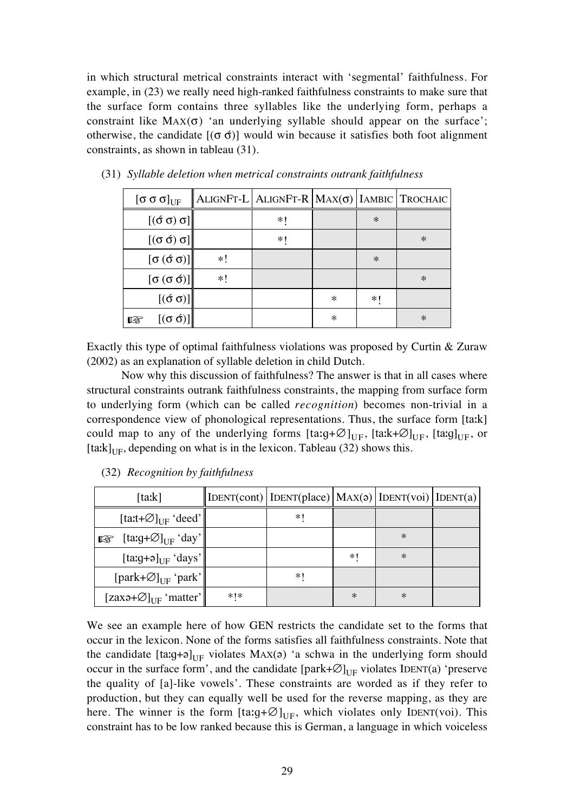in which structural metrical constraints interact with 'segmental' faithfulness. For example, in (23) we really need high-ranked faithfulness constraints to make sure that the surface form contains three syllables like the underlying form, perhaps a constraint like  $MAX(\sigma)$  'an underlying syllable should appear on the surface'; otherwise, the candidate  $[(\sigma \sigma)]$  would win because it satisfies both foot alignment constraints, as shown in tableau (31).

| $[\sigma \sigma \sigma]_{\text{UE}}$                    |      | ALIGNFT-L ALIGNFT-R $ MAX(σ) $ IAMBIC TROCHAIC |        |        |        |
|---------------------------------------------------------|------|------------------------------------------------|--------|--------|--------|
| $[(\vec{\sigma} \vec{\sigma}) \vec{\sigma}]$            |      | $*$ 1                                          |        | $\ast$ |        |
| $[(\sigma \acute{\sigma}) \sigma]$                      |      | $*!$                                           |        |        | $\ast$ |
| $\left[\sigma\left(\sigma\sigma\right)\right]$          | $*!$ |                                                |        | $\ast$ |        |
| $\left[\sigma\left(\sigma\,\sigma\right)\right]\right $ | $*!$ |                                                |        |        | $\ast$ |
| $[(\vec{\sigma} \space \sigma)]$                        |      |                                                | $\ast$ | *1     |        |
| $[(\sigma \vec{\sigma})]$<br>隐                          |      |                                                | $\ast$ |        | $\ast$ |

(31) *Syllable deletion when metrical constraints outrank faithfulness*

Exactly this type of optimal faithfulness violations was proposed by Curtin & Zuraw (2002) as an explanation of syllable deletion in child Dutch.

Now why this discussion of faithfulness? The answer is that in all cases where structural constraints outrank faithfulness constraints, the mapping from surface form to underlying form (which can be called *recognition*) becomes non-trivial in a correspondence view of phonological representations. Thus, the surface form [tak] could map to any of the underlying forms  $[ta:g+\varnothing]_{UF}$ ,  $[ta:k+\varnothing]_{UF}$ ,  $[ta:g]_{UF}$ , or [ta: $k$ ]<sub>UF</sub>, depending on what is in the lexicon. Tableau (32) shows this.

| [ta:k]                                                  |           | $\vert$ IDENT(cont) $\vert$ IDENT(place) $\vert$ MAX(a) $\vert$ IDENT(voi) $\vert$ IDENT(a) |        |        |  |
|---------------------------------------------------------|-----------|---------------------------------------------------------------------------------------------|--------|--------|--|
| [ta:t+ $\varnothing$ ] <sub>UF</sub> 'deed'             |           | *1                                                                                          |        |        |  |
| $\mathbb{R}$ [ta:g+ $\varnothing$ ] <sub>UF</sub> 'day' |           |                                                                                             |        | $\ast$ |  |
| $[\text{tag+a}]_{\text{HF}}$ 'days'                     |           |                                                                                             | $*1$   | $\ast$ |  |
| $[park+\varnothing]_{\text{HF}}$ 'park'                 |           | *1                                                                                          |        |        |  |
| [zaxə+ $\varnothing$ ] <sub>UF</sub> 'matter'           | $*$   $*$ |                                                                                             | $\ast$ | $\ast$ |  |

(32) *Recognition by faithfulness*

We see an example here of how GEN restricts the candidate set to the forms that occur in the lexicon. None of the forms satisfies all faithfulness constraints. Note that the candidate  $[ta:g+<sub>0</sub>]<sub>UF</sub>$  violates MAX( $\circ$ ) 'a schwa in the underlying form should occur in the surface form', and the candidate  $\lceil \text{park+}\mathcal{O} \rceil_{\text{HF}}$  violates IDENT(a) 'preserve the quality of [a]-like vowels'. These constraints are worded as if they refer to production, but they can equally well be used for the reverse mapping, as they are here. The winner is the form  $[ta:g+\varnothing]_{U}$ , which violates only IDENT(voi). This constraint has to be low ranked because this is German, a language in which voiceless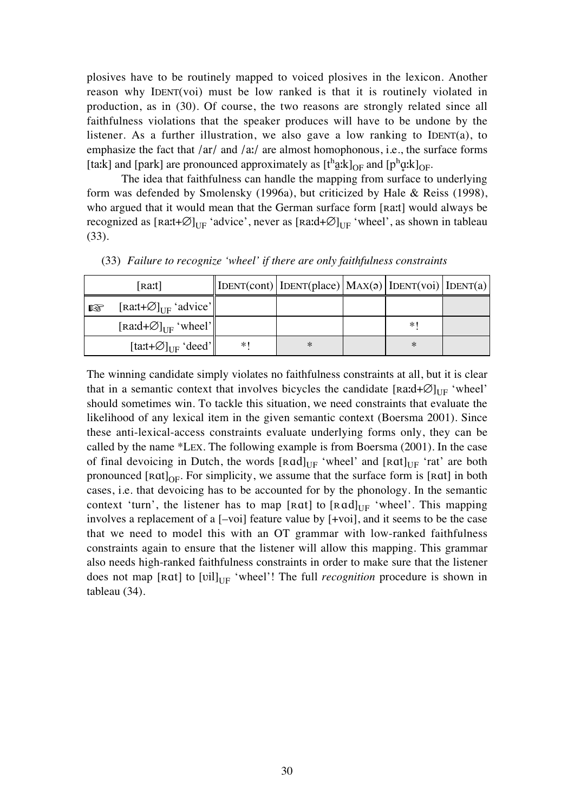plosives have to be routinely mapped to voiced plosives in the lexicon. Another reason why IDENT(voi) must be low ranked is that it is routinely violated in production, as in (30). Of course, the two reasons are strongly related since all faithfulness violations that the speaker produces will have to be undone by the listener. As a further illustration, we also gave a low ranking to IDENT(a), to emphasize the fact that  $\langle \text{ar}/\text{ and } \text{ar}/\text{ar} \rangle$  are almost homophonous, i.e., the surface forms [ta:k] and [park] are pronounced approximately as  $[t^h a:k]_{\text{OE}}$  and  $[p^h a:k]_{\text{OE}}$ .

The idea that faithfulness can handle the mapping from surface to underlying form was defended by Smolensky (1996a), but criticized by Hale & Reiss (1998), who argued that it would mean that the German surface form [rat] would always be recognized as  $[Rat+\varnothing]_{\text{UE}}$  'advice', never as  $[Rat+\varnothing]_{\text{UE}}$  'wheel', as shown in tableau (33).

|   | $[$ Ra:t $]$                                                 |      | $\text{IDENT}(\text{cont})$ [DENT(place) $\text{MAX}(a)$ [DENT(voi) [DENT(a)] |   |  |
|---|--------------------------------------------------------------|------|-------------------------------------------------------------------------------|---|--|
| 隐 | [ $\text{Ratt} + \varnothing$ ] <sub>UF</sub> 'advice'       |      |                                                                               |   |  |
|   | $\lceil \text{Rad}+ \emptyset \rceil$ <sub>LIF</sub> 'wheel' |      |                                                                               | ∗ |  |
|   | [ta:t+ $\varnothing$ ] <sub>UE</sub> 'deed'                  | $*1$ | ∗                                                                             | ∗ |  |

(33) *Failure to recognize 'wheel' if there are only faithfulness constraints*

The winning candidate simply violates no faithfulness constraints at all, but it is clear that in a semantic context that involves bicycles the candidate  $[{\rm{rad}}+Ø]_{\rm{UE}}$  'wheel' should sometimes win. To tackle this situation, we need constraints that evaluate the likelihood of any lexical item in the given semantic context (Boersma 2001). Since these anti-lexical-access constraints evaluate underlying forms only, they can be called by the name \*LEX. The following example is from Boersma (2001). In the case of final devoicing in Dutch, the words  $[Rad]_{UF}$  'wheel' and  $[rat]_{UF}$  'rat' are both pronounced  $[{\rm rat}]_{\rm OF}$ . For simplicity, we assume that the surface form is [ ${\rm rat}]$  in both cases, i.e. that devoicing has to be accounted for by the phonology. In the semantic context 'turn', the listener has to map [ $Rat$ ] to  $[Rad]_{UF}$  'wheel'. This mapping involves a replacement of a [–voi] feature value by [+voi], and it seems to be the case that we need to model this with an OT grammar with low-ranked faithfulness constraints again to ensure that the listener will allow this mapping. This grammar also needs high-ranked faithfulness constraints in order to make sure that the listener does not map [Rat] to [vil]<sub>UF</sub> 'wheel'! The full *recognition* procedure is shown in tableau (34).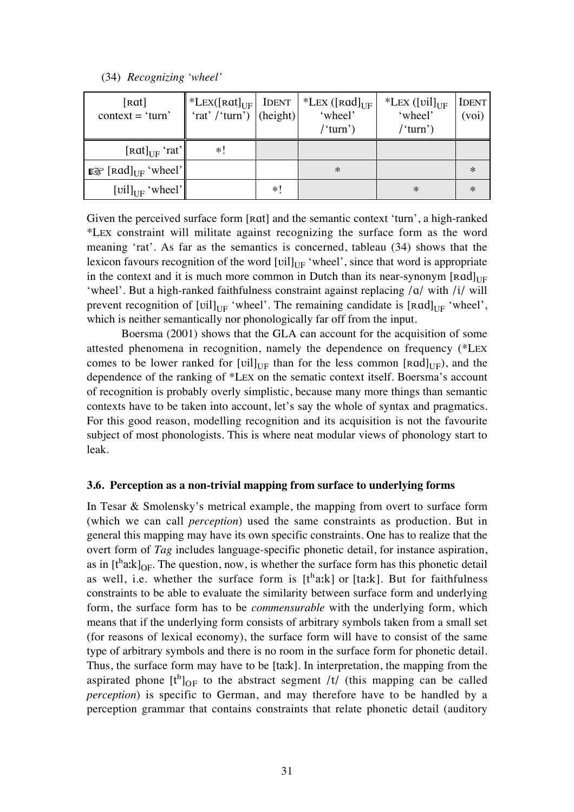#### (34) *Recognizing 'wheel'*

| $[\text{Rat}]$<br>$context = 'turn'$     | $ \text{EEX}([\text{Rat}]_{\text{UF}}  \text{IDENT}_{\text{rat}} )$ (height) |      | *LEX ([ $rad$ ] <sub>UF</sub><br>'wheel'<br>('turn') | *LEX $([vil]_{UF}$<br>'wheel'<br>/'turn') | <b>IDENT</b><br>(voi) |
|------------------------------------------|------------------------------------------------------------------------------|------|------------------------------------------------------|-------------------------------------------|-----------------------|
| $[\text{rat}]_{\text{UF}}$ 'rat'         | $\ast$ 1                                                                     |      |                                                      |                                           |                       |
| $\mathbb{R}$ [Rad] <sub>UF</sub> 'wheel' |                                                                              |      | $\ast$                                               |                                           | $\ast$                |
| $[\text{vil}]_{\text{UF}}$ 'wheel'       |                                                                              | $*!$ |                                                      | $\ast$                                    | $\ast$                |

Given the perceived surface form [rat] and the semantic context 'turn', a high-ranked \*LEX constraint will militate against recognizing the surface form as the word meaning 'rat'. As far as the semantics is concerned, tableau (34) shows that the lexicon favours recognition of the word  $[vil]_{UF}$  'wheel', since that word is appropriate in the context and it is much more common in Dutch than its near-synonym  $[rad]_{\text{UF}}$ 'wheel'. But a high-ranked faithfulness constraint against replacing  $/a/$  with  $/i/$  will prevent recognition of  $[vil]_{UF}$  'wheel'. The remaining candidate is  $[Rad]_{UF}$  'wheel', which is neither semantically nor phonologically far off from the input.

Boersma (2001) shows that the GLA can account for the acquisition of some attested phenomena in recognition, namely the dependence on frequency (\*LEX comes to be lower ranked for [vil]<sub>UF</sub> than for the less common [ $\text{Rad}]_{\text{UE}}$ ), and the dependence of the ranking of \*LEX on the sematic context itself. Boersma's account of recognition is probably overly simplistic, because many more things than semantic contexts have to be taken into account, let's say the whole of syntax and pragmatics. For this good reason, modelling recognition and its acquisition is not the favourite subject of most phonologists. This is where neat modular views of phonology start to leak.

#### **3.6. Perception as a non-trivial mapping from surface to underlying forms**

In Tesar & Smolensky's metrical example, the mapping from overt to surface form (which we can call *perception*) used the same constraints as production. But in general this mapping may have its own specific constraints. One has to realize that the overt form of *Tag* includes language-specific phonetic detail, for instance aspiration, as in  $[t<sup>h</sup> a:k]_{OF}$ . The question, now, is whether the surface form has this phonetic detail as well, i.e. whether the surface form is  $[t<sup>h</sup>a:k]$  or [ta:k]. But for faithfulness constraints to be able to evaluate the similarity between surface form and underlying form, the surface form has to be *commensurable* with the underlying form, which means that if the underlying form consists of arbitrary symbols taken from a small set (for reasons of lexical economy), the surface form will have to consist of the same type of arbitrary symbols and there is no room in the surface form for phonetic detail. Thus, the surface form may have to be [tak]. In interpretation, the mapping from the aspirated phone  $[t^h]_{\text{OF}}$  to the abstract segment /t/ (this mapping can be called *perception*) is specific to German, and may therefore have to be handled by a perception grammar that contains constraints that relate phonetic detail (auditory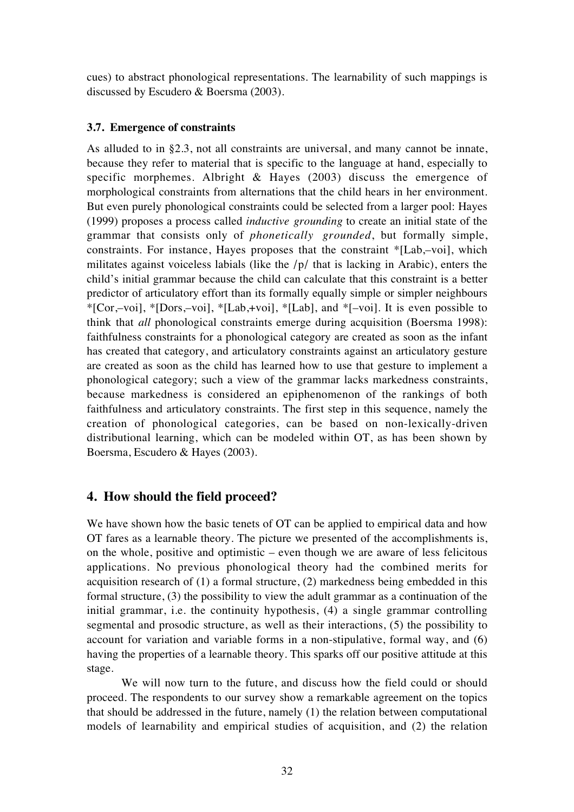cues) to abstract phonological representations. The learnability of such mappings is discussed by Escudero & Boersma (2003).

## **3.7. Emergence of constraints**

As alluded to in §2.3, not all constraints are universal, and many cannot be innate, because they refer to material that is specific to the language at hand, especially to specific morphemes. Albright & Hayes (2003) discuss the emergence of morphological constraints from alternations that the child hears in her environment. But even purely phonological constraints could be selected from a larger pool: Hayes (1999) proposes a process called *inductive grounding* to create an initial state of the grammar that consists only of *phonetically grounded*, but formally simple, constraints. For instance, Hayes proposes that the constraint \*[Lab,–voi], which militates against voiceless labials (like the /p/ that is lacking in Arabic), enters the child's initial grammar because the child can calculate that this constraint is a better predictor of articulatory effort than its formally equally simple or simpler neighbours \*[Cor,–voi], \*[Dors,–voi], \*[Lab,+voi], \*[Lab], and \*[–voi]. It is even possible to think that *all* phonological constraints emerge during acquisition (Boersma 1998): faithfulness constraints for a phonological category are created as soon as the infant has created that category, and articulatory constraints against an articulatory gesture are created as soon as the child has learned how to use that gesture to implement a phonological category; such a view of the grammar lacks markedness constraints, because markedness is considered an epiphenomenon of the rankings of both faithfulness and articulatory constraints. The first step in this sequence, namely the creation of phonological categories, can be based on non-lexically-driven distributional learning, which can be modeled within OT, as has been shown by Boersma, Escudero & Hayes (2003).

## **4. How should the field proceed?**

We have shown how the basic tenets of OT can be applied to empirical data and how OT fares as a learnable theory. The picture we presented of the accomplishments is, on the whole, positive and optimistic – even though we are aware of less felicitous applications. No previous phonological theory had the combined merits for acquisition research of (1) a formal structure, (2) markedness being embedded in this formal structure, (3) the possibility to view the adult grammar as a continuation of the initial grammar, i.e. the continuity hypothesis, (4) a single grammar controlling segmental and prosodic structure, as well as their interactions, (5) the possibility to account for variation and variable forms in a non-stipulative, formal way, and (6) having the properties of a learnable theory. This sparks off our positive attitude at this stage.

We will now turn to the future, and discuss how the field could or should proceed. The respondents to our survey show a remarkable agreement on the topics that should be addressed in the future, namely (1) the relation between computational models of learnability and empirical studies of acquisition, and (2) the relation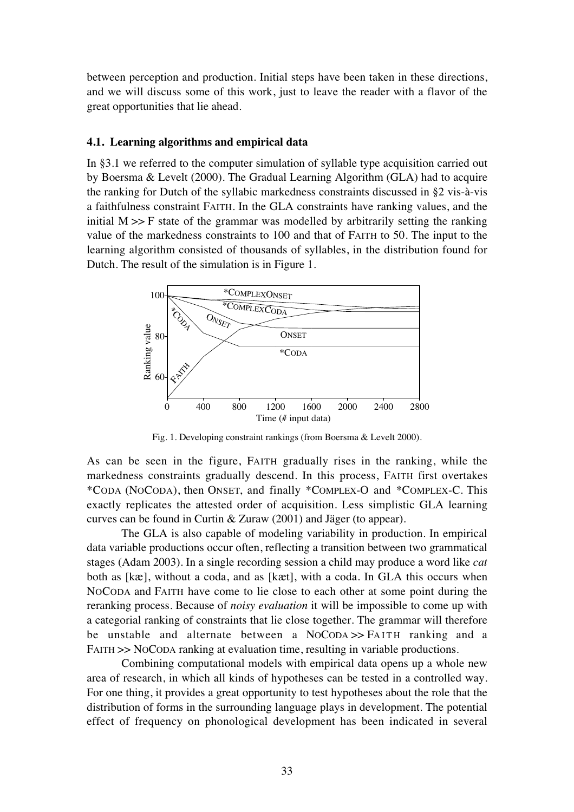between perception and production. Initial steps have been taken in these directions, and we will discuss some of this work, just to leave the reader with a flavor of the great opportunities that lie ahead.

### **4.1. Learning algorithms and empirical data**

In §3.1 we referred to the computer simulation of syllable type acquisition carried out by Boersma & Levelt (2000). The Gradual Learning Algorithm (GLA) had to acquire the ranking for Dutch of the syllabic markedness constraints discussed in §2 vis-à-vis a faithfulness constraint FAITH. In the GLA constraints have ranking values, and the initial  $M \gg F$  state of the grammar was modelled by arbitrarily setting the ranking value of the markedness constraints to 100 and that of FAITH to 50. The input to the learning algorithm consisted of thousands of syllables, in the distribution found for Dutch. The result of the simulation is in Figure 1.



Fig. 1. Developing constraint rankings (from Boersma & Levelt 2000).

As can be seen in the figure, FAITH gradually rises in the ranking, while the markedness constraints gradually descend. In this process, FAITH first overtakes \*CODA (NOCODA), then ONSET, and finally \*COMPLEX-O and \*COMPLEX-C. This exactly replicates the attested order of acquisition. Less simplistic GLA learning curves can be found in Curtin & Zuraw (2001) and Jäger (to appear).

The GLA is also capable of modeling variability in production. In empirical data variable productions occur often, reflecting a transition between two grammatical stages (Adam 2003). In a single recording session a child may produce a word like *cat* both as [kæ], without a coda, and as [kæt], with a coda. In GLA this occurs when NOCODA and FAITH have come to lie close to each other at some point during the reranking process. Because of *noisy evaluation* it will be impossible to come up with a categorial ranking of constraints that lie close together. The grammar will therefore be unstable and alternate between a NOCODA >> FAITH ranking and a FAITH >> NOCODA ranking at evaluation time, resulting in variable productions.

Combining computational models with empirical data opens up a whole new area of research, in which all kinds of hypotheses can be tested in a controlled way. For one thing, it provides a great opportunity to test hypotheses about the role that the distribution of forms in the surrounding language plays in development. The potential effect of frequency on phonological development has been indicated in several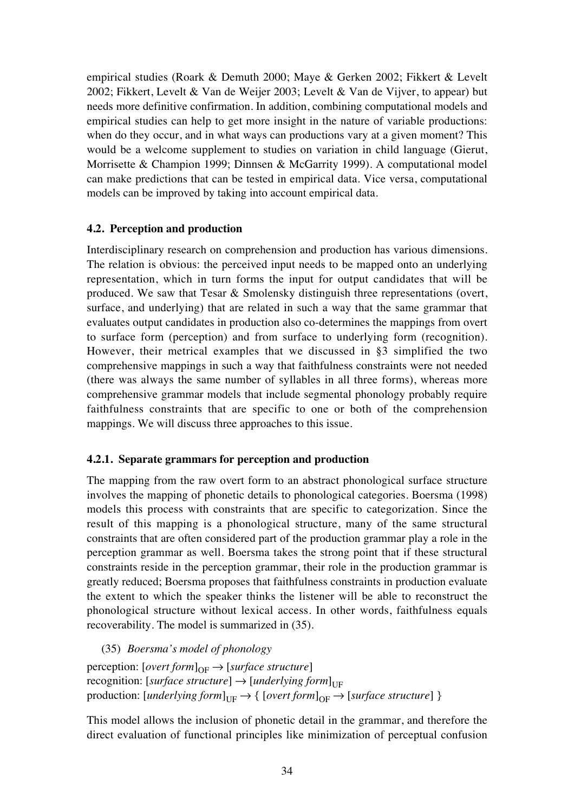empirical studies (Roark & Demuth 2000; Maye & Gerken 2002; Fikkert & Levelt 2002; Fikkert, Levelt & Van de Weijer 2003; Levelt & Van de Vijver, to appear) but needs more definitive confirmation. In addition, combining computational models and empirical studies can help to get more insight in the nature of variable productions: when do they occur, and in what ways can productions vary at a given moment? This would be a welcome supplement to studies on variation in child language (Gierut, Morrisette & Champion 1999; Dinnsen & McGarrity 1999). A computational model can make predictions that can be tested in empirical data. Vice versa, computational models can be improved by taking into account empirical data.

## **4.2. Perception and production**

Interdisciplinary research on comprehension and production has various dimensions. The relation is obvious: the perceived input needs to be mapped onto an underlying representation, which in turn forms the input for output candidates that will be produced. We saw that Tesar & Smolensky distinguish three representations (overt, surface, and underlying) that are related in such a way that the same grammar that evaluates output candidates in production also co-determines the mappings from overt to surface form (perception) and from surface to underlying form (recognition). However, their metrical examples that we discussed in §3 simplified the two comprehensive mappings in such a way that faithfulness constraints were not needed (there was always the same number of syllables in all three forms), whereas more comprehensive grammar models that include segmental phonology probably require faithfulness constraints that are specific to one or both of the comprehension mappings. We will discuss three approaches to this issue.

## **4.2.1. Separate grammars for perception and production**

The mapping from the raw overt form to an abstract phonological surface structure involves the mapping of phonetic details to phonological categories. Boersma (1998) models this process with constraints that are specific to categorization. Since the result of this mapping is a phonological structure, many of the same structural constraints that are often considered part of the production grammar play a role in the perception grammar as well. Boersma takes the strong point that if these structural constraints reside in the perception grammar, their role in the production grammar is greatly reduced; Boersma proposes that faithfulness constraints in production evaluate the extent to which the speaker thinks the listener will be able to reconstruct the phonological structure without lexical access. In other words, faithfulness equals recoverability. The model is summarized in (35).

(35) *Boersma's model of phonology* perception:  $[overform]_{OF} \rightarrow [surface structure]$ recognition: [*surface structure*] → [*underlying form*]<sub>UF</sub> production: [*underlying form*]<sub>UF</sub>  $\rightarrow$  { [*overt form*]<sub>OF</sub>  $\rightarrow$  [*surface structure*] }

This model allows the inclusion of phonetic detail in the grammar, and therefore the direct evaluation of functional principles like minimization of perceptual confusion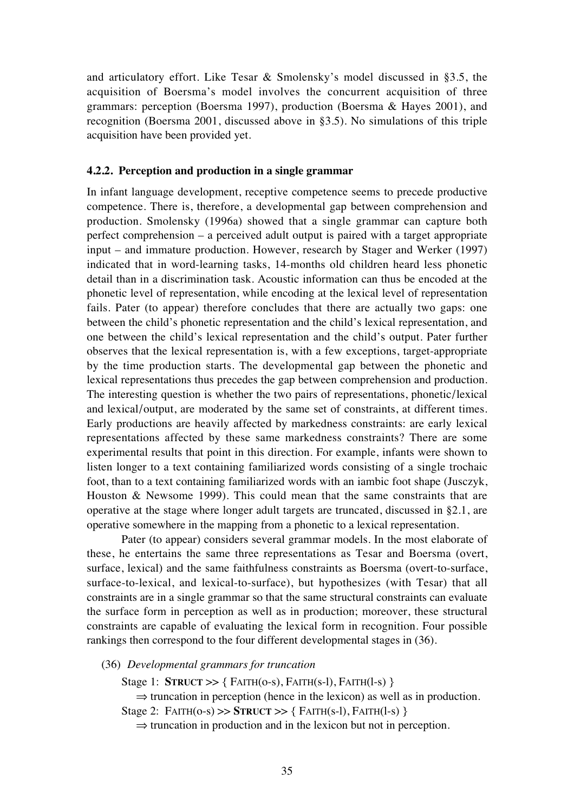and articulatory effort. Like Tesar & Smolensky's model discussed in §3.5, the acquisition of Boersma's model involves the concurrent acquisition of three grammars: perception (Boersma 1997), production (Boersma & Hayes 2001), and recognition (Boersma 2001, discussed above in §3.5). No simulations of this triple acquisition have been provided yet.

## **4.2.2. Perception and production in a single grammar**

In infant language development, receptive competence seems to precede productive competence. There is, therefore, a developmental gap between comprehension and production. Smolensky (1996a) showed that a single grammar can capture both perfect comprehension – a perceived adult output is paired with a target appropriate input – and immature production. However, research by Stager and Werker (1997) indicated that in word-learning tasks, 14-months old children heard less phonetic detail than in a discrimination task. Acoustic information can thus be encoded at the phonetic level of representation, while encoding at the lexical level of representation fails. Pater (to appear) therefore concludes that there are actually two gaps: one between the child's phonetic representation and the child's lexical representation, and one between the child's lexical representation and the child's output. Pater further observes that the lexical representation is, with a few exceptions, target-appropriate by the time production starts. The developmental gap between the phonetic and lexical representations thus precedes the gap between comprehension and production. The interesting question is whether the two pairs of representations, phonetic/lexical and lexical/output, are moderated by the same set of constraints, at different times. Early productions are heavily affected by markedness constraints: are early lexical representations affected by these same markedness constraints? There are some experimental results that point in this direction. For example, infants were shown to listen longer to a text containing familiarized words consisting of a single trochaic foot, than to a text containing familiarized words with an iambic foot shape (Jusczyk, Houston & Newsome 1999). This could mean that the same constraints that are operative at the stage where longer adult targets are truncated, discussed in §2.1, are operative somewhere in the mapping from a phonetic to a lexical representation.

Pater (to appear) considers several grammar models. In the most elaborate of these, he entertains the same three representations as Tesar and Boersma (overt, surface, lexical) and the same faithfulness constraints as Boersma (overt-to-surface, surface-to-lexical, and lexical-to-surface), but hypothesizes (with Tesar) that all constraints are in a single grammar so that the same structural constraints can evaluate the surface form in perception as well as in production; moreover, these structural constraints are capable of evaluating the lexical form in recognition. Four possible rankings then correspond to the four different developmental stages in (36).

(36) *Developmental grammars for truncation*

Stage 1:  $STRUCT$  >>  $\{ FATTH(o-s), FATTH(s-1), FATTH(l-s) \}$ 

 $\Rightarrow$  truncation in perception (hence in the lexicon) as well as in production.

Stage 2: FAITH( $o-s$ ) >> STRUCT >> { FAITH( $s-l$ ), FAITH( $l-s$ ) }

 $\Rightarrow$  truncation in production and in the lexicon but not in perception.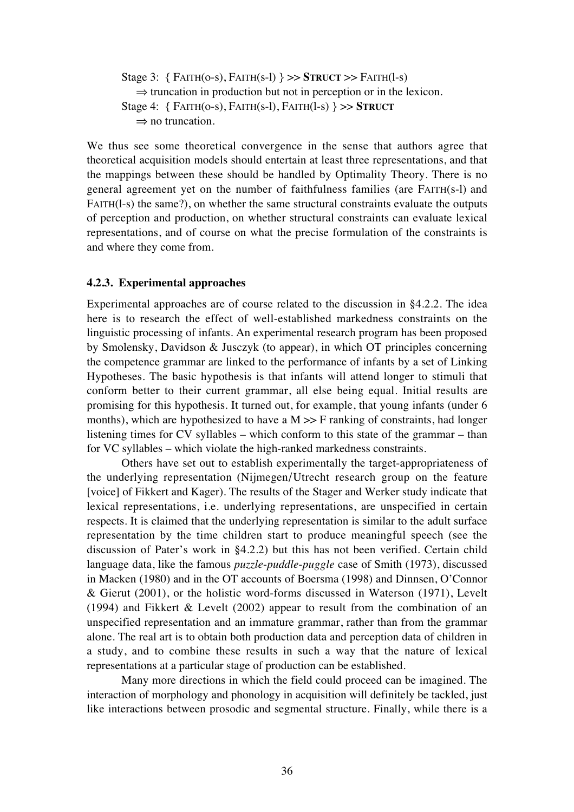Stage 3:  $\{ FATTH(o-s), FATTH(s-l) \} >>$  **STRUCT**  $>>$  FAITH(1-s)  $\Rightarrow$  truncation in production but not in perception or in the lexicon. Stage 4: { FAITH(o-s), FAITH(s-l), FAITH(l-s) } >> **STRUCT**  $\Rightarrow$  no truncation.

We thus see some theoretical convergence in the sense that authors agree that theoretical acquisition models should entertain at least three representations, and that the mappings between these should be handled by Optimality Theory. There is no general agreement yet on the number of faithfulness families (are FAITH(s-l) and FAITH(l-s) the same?), on whether the same structural constraints evaluate the outputs of perception and production, on whether structural constraints can evaluate lexical representations, and of course on what the precise formulation of the constraints is and where they come from.

#### **4.2.3. Experimental approaches**

Experimental approaches are of course related to the discussion in §4.2.2. The idea here is to research the effect of well-established markedness constraints on the linguistic processing of infants. An experimental research program has been proposed by Smolensky, Davidson & Jusczyk (to appear), in which OT principles concerning the competence grammar are linked to the performance of infants by a set of Linking Hypotheses. The basic hypothesis is that infants will attend longer to stimuli that conform better to their current grammar, all else being equal. Initial results are promising for this hypothesis. It turned out, for example, that young infants (under 6 months), which are hypothesized to have a  $M \gg F$  ranking of constraints, had longer listening times for CV syllables – which conform to this state of the grammar – than for VC syllables – which violate the high-ranked markedness constraints.

Others have set out to establish experimentally the target-appropriateness of the underlying representation (Nijmegen/Utrecht research group on the feature [voice] of Fikkert and Kager). The results of the Stager and Werker study indicate that lexical representations, i.e. underlying representations, are unspecified in certain respects. It is claimed that the underlying representation is similar to the adult surface representation by the time children start to produce meaningful speech (see the discussion of Pater's work in §4.2.2) but this has not been verified. Certain child language data, like the famous *puzzle*-*puddle*-*puggle* case of Smith (1973), discussed in Macken (1980) and in the OT accounts of Boersma (1998) and Dinnsen, O'Connor & Gierut (2001), or the holistic word-forms discussed in Waterson (1971), Levelt (1994) and Fikkert & Levelt (2002) appear to result from the combination of an unspecified representation and an immature grammar, rather than from the grammar alone. The real art is to obtain both production data and perception data of children in a study, and to combine these results in such a way that the nature of lexical representations at a particular stage of production can be established.

Many more directions in which the field could proceed can be imagined. The interaction of morphology and phonology in acquisition will definitely be tackled, just like interactions between prosodic and segmental structure. Finally, while there is a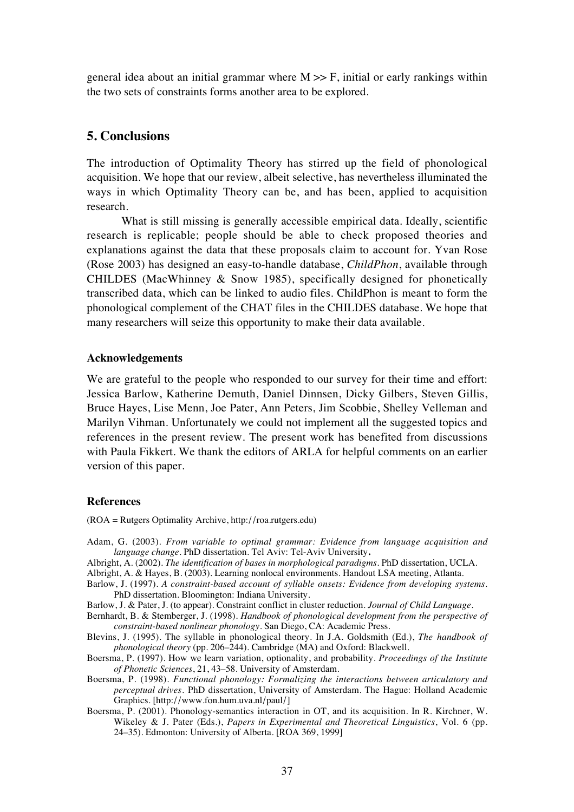general idea about an initial grammar where  $M \gg F$ , initial or early rankings within the two sets of constraints forms another area to be explored.

## **5. Conclusions**

The introduction of Optimality Theory has stirred up the field of phonological acquisition. We hope that our review, albeit selective, has nevertheless illuminated the ways in which Optimality Theory can be, and has been, applied to acquisition research.

What is still missing is generally accessible empirical data. Ideally, scientific research is replicable; people should be able to check proposed theories and explanations against the data that these proposals claim to account for. Yvan Rose (Rose 2003) has designed an easy-to-handle database, *ChildPhon*, available through CHILDES (MacWhinney & Snow 1985), specifically designed for phonetically transcribed data, which can be linked to audio files. ChildPhon is meant to form the phonological complement of the CHAT files in the CHILDES database. We hope that many researchers will seize this opportunity to make their data available.

#### **Acknowledgements**

We are grateful to the people who responded to our survey for their time and effort: Jessica Barlow, Katherine Demuth, Daniel Dinnsen, Dicky Gilbers, Steven Gillis, Bruce Hayes, Lise Menn, Joe Pater, Ann Peters, Jim Scobbie, Shelley Velleman and Marilyn Vihman. Unfortunately we could not implement all the suggested topics and references in the present review. The present work has benefited from discussions with Paula Fikkert. We thank the editors of ARLA for helpful comments on an earlier version of this paper.

#### **References**

(ROA = Rutgers Optimality Archive, http://roa.rutgers.edu)

Adam, G. (2003). *From variable to optimal grammar: Evidence from language acquisition and language change*. PhD dissertation. Tel Aviv: Tel-Aviv University. Albright, A. (2002). *The identification of bases in morphological paradigms*. PhD dissertation, UCLA.

Albright, A. & Hayes, B. (2003). Learning nonlocal environments. Handout LSA meeting, Atlanta.

Barlow, J. (1997). *A constraint-based account of syllable onsets: Evidence from developing systems*. PhD dissertation. Bloomington: Indiana University.

Barlow, J. & Pater, J. (to appear). Constraint conflict in cluster reduction. *Journal of Child Language*.

- Bernhardt, B. & Stemberger, J. (1998). *Handbook of phonological development from the perspective of constraint-based nonlinear phonology*. San Diego, CA: Academic Press.
- Blevins, J. (1995). The syllable in phonological theory. In J.A. Goldsmith (Ed.), *The handbook of phonological theory* (pp. 206–244). Cambridge (MA) and Oxford: Blackwell.
- Boersma, P. (1997). How we learn variation, optionality, and probability. *Proceedings of the Institute of Phonetic Sciences*, 21, 43–58. University of Amsterdam.
- Boersma, P. (1998). *Functional phonology: Formalizing the interactions between articulatory and perceptual drives*. PhD dissertation, University of Amsterdam. The Hague: Holland Academic Graphics. [http://www.fon.hum.uva.nl/paul/]
- Boersma, P. (2001). Phonology-semantics interaction in OT, and its acquisition. In R. Kirchner, W. Wikeley & J. Pater (Eds.), *Papers in Experimental and Theoretical Linguistics*, Vol. 6 (pp. 24–35). Edmonton: University of Alberta. [ROA 369, 1999]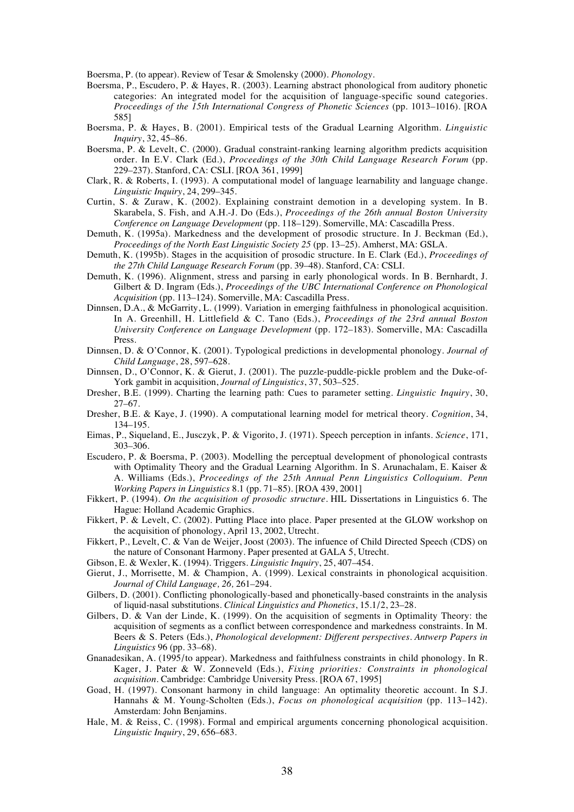Boersma, P. (to appear). Review of Tesar & Smolensky (2000). *Phonology*.

- Boersma, P., Escudero, P. & Hayes, R. (2003). Learning abstract phonological from auditory phonetic categories: An integrated model for the acquisition of language-specific sound categories. *Proceedings of the 15th International Congress of Phonetic Sciences* (pp. 1013–1016). [ROA 585]
- Boersma, P. & Hayes, B. (2001). Empirical tests of the Gradual Learning Algorithm. *Linguistic Inquiry*, 32, 45–86.
- Boersma, P. & Levelt, C. (2000). Gradual constraint-ranking learning algorithm predicts acquisition order. In E.V. Clark (Ed.), *Proceedings of the 30th Child Language Research Forum* (pp. 229–237). Stanford, CA: CSLI. [ROA 361, 1999]
- Clark, R. & Roberts, I. (1993). A computational model of language learnability and language change. *Linguistic Inquiry*, 24, 299–345.
- Curtin, S. & Zuraw, K. (2002). Explaining constraint demotion in a developing system. In B. Skarabela, S. Fish, and A.H.-J. Do (Eds.), *Proceedings of the 26th annual Boston University Conference on Language Development* (pp. 118–129). Somerville, MA: Cascadilla Press.
- Demuth, K. (1995a). Markedness and the development of prosodic structure. In J. Beckman (Ed.), *Proceedings of the North East Linguistic Society 25* (pp. 13–25). Amherst, MA: GSLA.
- Demuth, K. (1995b). Stages in the acquisition of prosodic structure. In E. Clark (Ed.), *Proceedings of the 27th Child Language Research Forum* (pp. 39–48). Stanford, CA: CSLI.
- Demuth, K. (1996). Alignment, stress and parsing in early phonological words. In B. Bernhardt, J. Gilbert & D. Ingram (Eds.), *Proceedings of the UBC International Conference on Phonological Acquisition* (pp. 113–124). Somerville, MA: Cascadilla Press.
- Dinnsen, D.A., & McGarrity, L. (1999). Variation in emerging faithfulness in phonological acquisition. In A. Greenhill, H. Littlefield & C. Tano (Eds.), *Proceedings of the 23rd annual Boston University Conference on Language Development* (pp. 172–183). Somerville, MA: Cascadilla Press.
- Dinnsen, D. & O'Connor, K. (2001). Typological predictions in developmental phonology. *Journal of Child Language*, 28, 597–628.
- Dinnsen, D., O'Connor, K. & Gierut, J. (2001). The puzzle-puddle-pickle problem and the Duke-of-York gambit in acquisition, *Journal of Linguistics*, 37, 503–525.
- Dresher, B.E. (1999). Charting the learning path: Cues to parameter setting. *Linguistic Inquiry*, 30, 27–67.
- Dresher, B.E. & Kaye, J. (1990). A computational learning model for metrical theory. *Cognition*, 34, 134–195.
- Eimas, P., Siqueland, E., Jusczyk, P. & Vigorito, J. (1971). Speech perception in infants. *Science*, 171, 303–306.
- Escudero, P. & Boersma, P. (2003). Modelling the perceptual development of phonological contrasts with Optimality Theory and the Gradual Learning Algorithm. In S. Arunachalam, E. Kaiser & A. Williams (Eds.), *Proceedings of the 25th Annual Penn Linguistics Colloquium*. *Penn Working Papers in Linguistics* 8.1 (pp. 71–85). [ROA 439, 2001]
- Fikkert, P. (1994). *On the acquisition of prosodic structure*. HIL Dissertations in Linguistics 6. The Hague: Holland Academic Graphics.
- Fikkert, P. & Levelt, C. (2002). Putting Place into place. Paper presented at the GLOW workshop on the acquisition of phonology, April 13, 2002, Utrecht.
- Fikkert, P., Levelt, C. & Van de Weijer, Joost (2003). The infuence of Child Directed Speech (CDS) on the nature of Consonant Harmony. Paper presented at GALA 5, Utrecht.
- Gibson, E. & Wexler, K. (1994). Triggers. *Linguistic Inquiry*, 25, 407–454.
- Gierut, J., Morrisette, M. & Champion, A. (1999). Lexical constraints in phonological acquisition. *Journal of Child Language, 26,* 261–294.
- Gilbers, D. (2001). Conflicting phonologically-based and phonetically-based constraints in the analysis of liquid-nasal substitutions. *Clinical Linguistics and Phonetics*, 15.1/2, 23–28.
- Gilbers, D. & Van der Linde, K. (1999). On the acquisition of segments in Optimality Theory: the acquisition of segments as a conflict between correspondence and markedness constraints. In M. Beers & S. Peters (Eds.), *Phonological development: Different perspectives*. *Antwerp Papers in Linguistics* 96 (pp. 33–68).
- Gnanadesikan, A. (1995/to appear). Markedness and faithfulness constraints in child phonology. In R. Kager, J. Pater & W. Zonneveld (Eds.), *Fixing priorities: Constraints in phonological acquisition*. Cambridge: Cambridge University Press. [ROA 67, 1995]
- Goad, H. (1997). Consonant harmony in child language: An optimality theoretic account. In S.J. Hannahs & M. Young-Scholten (Eds.), *Focus on phonological acquisition* (pp. 113–142). Amsterdam: John Benjamins.
- Hale, M. & Reiss, C. (1998). Formal and empirical arguments concerning phonological acquisition. *Linguistic Inquiry*, 29, 656–683.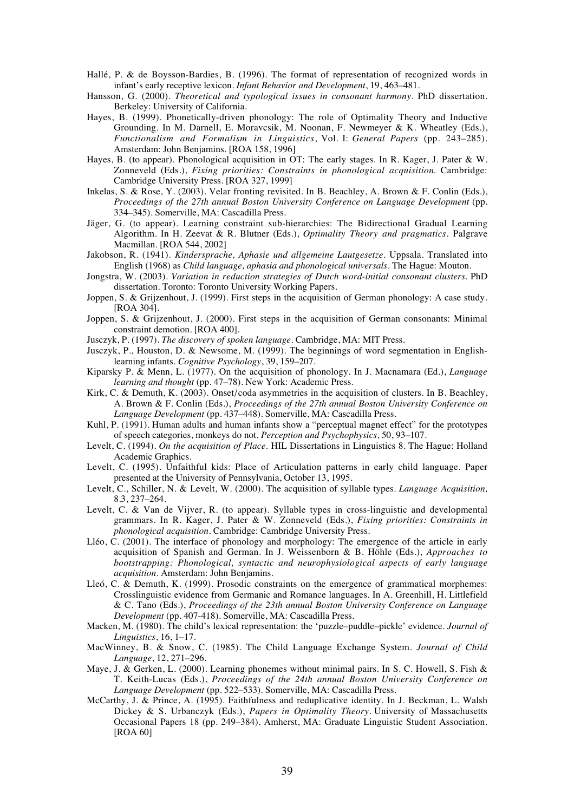- Hallé, P. & de Boysson-Bardies, B. (1996). The format of representation of recognized words in infant's early receptive lexicon. *Infant Behavior and Development*, 19, 463–481.
- Hansson, G. (2000). *Theoretical and typological issues in consonant harmony*. PhD dissertation. Berkeley: University of California.
- Hayes, B. (1999). Phonetically-driven phonology: The role of Optimality Theory and Inductive Grounding. In M. Darnell, E. Moravcsik, M. Noonan, F. Newmeyer & K. Wheatley (Eds.), *Functionalism and Formalism in Linguistics*, Vol. I: *General Papers* (pp. 243–285). Amsterdam: John Benjamins. [ROA 158, 1996]
- Hayes, B. (to appear). Phonological acquisition in OT: The early stages. In R. Kager, J. Pater & W. Zonneveld (Eds.), *Fixing priorities: Constraints in phonological acquisition*. Cambridge: Cambridge University Press. [ROA 327, 1999]
- Inkelas, S. & Rose, Y. (2003). Velar fronting revisited. In B. Beachley, A. Brown & F. Conlin (Eds.), *Proceedings of the 27th annual Boston University Conference on Language Development* (pp. 334–345). Somerville, MA: Cascadilla Press.
- Jäger, G. (to appear). Learning constraint sub-hierarchies: The Bidirectional Gradual Learning Algorithm. In H. Zeevat & R. Blutner (Eds.), *Optimality Theory and pragmatics*. Palgrave Macmillan. [ROA 544, 2002]
- Jakobson, R. (1941). *Kindersprache, Aphasie und allgemeine Lautgesetze*. Uppsala. Translated into English (1968) as *Child language, aphasia and phonological universals*. The Hague: Mouton.
- Jongstra, W. (2003). *Variation in reduction strategies of Dutch word-initial consonant clusters*. PhD dissertation. Toronto: Toronto University Working Papers.
- Joppen, S. & Grijzenhout, J. (1999). First steps in the acquisition of German phonology: A case study. [ROA 304].
- Joppen, S. & Grijzenhout, J. (2000). First steps in the acquisition of German consonants: Minimal constraint demotion. [ROA 400].
- Jusczyk, P. (1997). *The discovery of spoken language*. Cambridge, MA: MIT Press.
- Jusczyk, P., Houston, D. & Newsome, M. (1999). The beginnings of word segmentation in Englishlearning infants. *Cognitive Psychology*, 39, 159–207.
- Kiparsky P. & Menn, L. (1977). On the acquisition of phonology. In J. Macnamara (Ed.), *Language learning and thought* (pp. 47–78). New York: Academic Press.
- Kirk, C. & Demuth, K. (2003). Onset/coda asymmetries in the acquisition of clusters. In B. Beachley, A. Brown & F. Conlin (Eds.), *Proceedings of the 27th annual Boston University Conference on Language Development* (pp. 437–448). Somerville, MA: Cascadilla Press.
- Kuhl, P. (1991). Human adults and human infants show a "perceptual magnet effect" for the prototypes of speech categories, monkeys do not. *Perception and Psychophysics*, 50, 93–107.
- Levelt, C. (1994). *On the acquisition of Place*. HIL Dissertations in Linguistics 8. The Hague: Holland Academic Graphics.
- Levelt, C. (1995). Unfaithful kids: Place of Articulation patterns in early child language. Paper presented at the University of Pennsylvania, October 13, 1995.
- Levelt, C., Schiller, N. & Levelt, W. (2000). The acquisition of syllable types. *Language Acquisition,* 8.3, 237–264.
- Levelt, C. & Van de Vijver, R. (to appear). Syllable types in cross-linguistic and developmental grammars. In R. Kager, J. Pater & W. Zonneveld (Eds.), *Fixing priorities: Constraints in phonological acquisition*. Cambridge: Cambridge University Press.
- Lléo, C. (2001). The interface of phonology and morphology: The emergence of the article in early acquisition of Spanish and German. In J. Weissenborn & B. Höhle (Eds.), *Approaches to bootstrapping: Phonological, syntactic and neurophysiological aspects of early language acquisition*. Amsterdam: John Benjamins.
- Lleó, C. & Demuth, K. (1999). Prosodic constraints on the emergence of grammatical morphemes: Crosslinguistic evidence from Germanic and Romance languages. In A. Greenhill, H. Littlefield & C. Tano (Eds.), *Proceedings of the 23th annual Boston University Conference on Language Development* (pp. 407-418). Somerville, MA: Cascadilla Press.
- Macken, M. (1980). The child's lexical representation: the 'puzzle–puddle–pickle' evidence. *Journal of Linguistics*, 16, 1–17.
- MacWinney, B. & Snow, C. (1985). The Child Language Exchange System. *Journal of Child Language*, 12, 271–296.
- Maye, J. & Gerken, L. (2000). Learning phonemes without minimal pairs. In S. C. Howell, S. Fish & T. Keith-Lucas (Eds.), *Proceedings of the 24th annual Boston University Conference on Language Development* (pp. 522–533). Somerville, MA: Cascadilla Press.
- McCarthy, J. & Prince, A. (1995). Faithfulness and reduplicative identity. In J. Beckman, L. Walsh Dickey & S. Urbanczyk (Eds.), *Papers in Optimality Theory*. University of Massachusetts Occasional Papers 18 (pp. 249–384). Amherst, MA: Graduate Linguistic Student Association. [ROA 60]